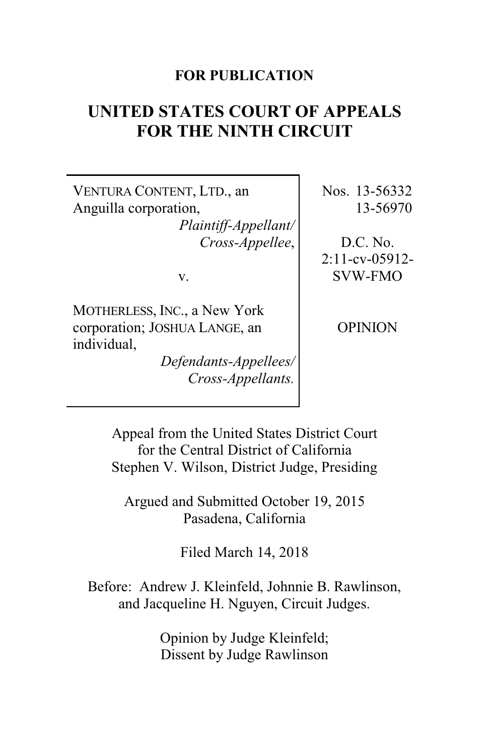### **FOR PUBLICATION**

# **UNITED STATES COURT OF APPEALS FOR THE NINTH CIRCUIT**

VENTURA CONTENT, LTD., an Anguilla corporation, *Plaintiff-Appellant/ Cross-Appellee*,

v.

MOTHERLESS, INC., a New York corporation; JOSHUA LANGE, an individual,

*Defendants-Appellees/ Cross-Appellants.*

Nos. 13-56332 13-56970

D.C. No. 2:11-cv-05912- SVW-FMO

OPINION

Appeal from the United States District Court for the Central District of California Stephen V. Wilson, District Judge, Presiding

Argued and Submitted October 19, 2015 Pasadena, California

Filed March 14, 2018

Before: Andrew J. Kleinfeld, Johnnie B. Rawlinson, and Jacqueline H. Nguyen, Circuit Judges.

> Opinion by Judge Kleinfeld; Dissent by Judge Rawlinson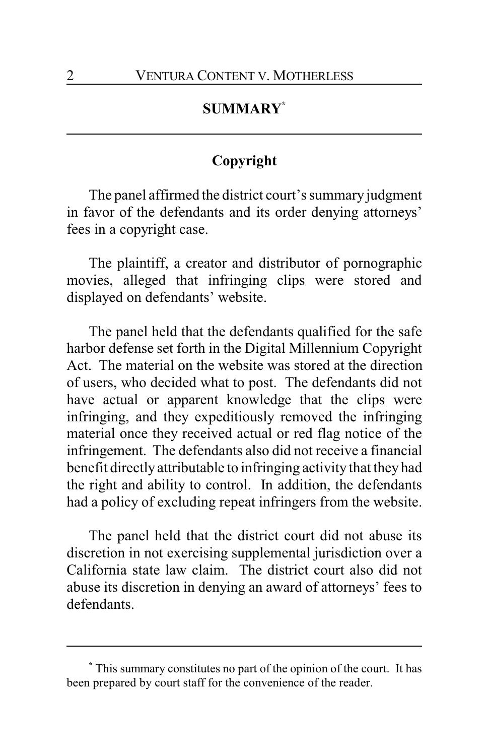## **SUMMARY\***

## **Copyright**

The panel affirmed the district court's summary judgment in favor of the defendants and its order denying attorneys' fees in a copyright case.

The plaintiff, a creator and distributor of pornographic movies, alleged that infringing clips were stored and displayed on defendants' website.

The panel held that the defendants qualified for the safe harbor defense set forth in the Digital Millennium Copyright Act. The material on the website was stored at the direction of users, who decided what to post. The defendants did not have actual or apparent knowledge that the clips were infringing, and they expeditiously removed the infringing material once they received actual or red flag notice of the infringement. The defendants also did not receive a financial benefit directly attributable to infringing activity that they had the right and ability to control. In addition, the defendants had a policy of excluding repeat infringers from the website.

The panel held that the district court did not abuse its discretion in not exercising supplemental jurisdiction over a California state law claim. The district court also did not abuse its discretion in denying an award of attorneys' fees to defendants.

**<sup>\*</sup>** This summary constitutes no part of the opinion of the court. It has been prepared by court staff for the convenience of the reader.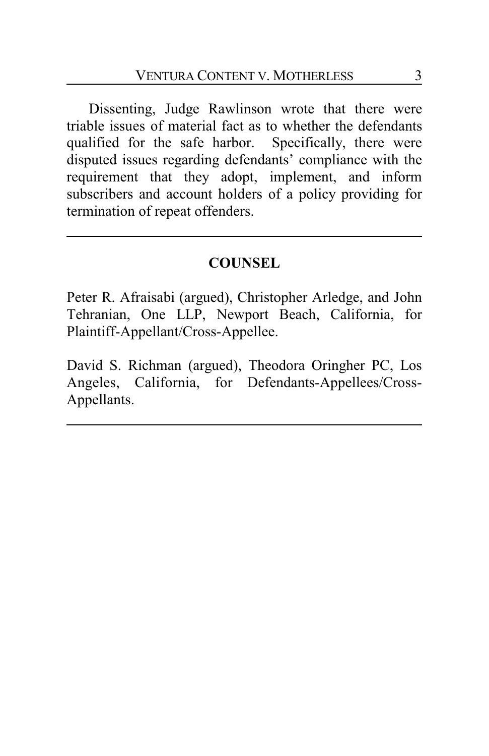Dissenting, Judge Rawlinson wrote that there were triable issues of material fact as to whether the defendants qualified for the safe harbor. Specifically, there were disputed issues regarding defendants' compliance with the requirement that they adopt, implement, and inform subscribers and account holders of a policy providing for termination of repeat offenders.

## **COUNSEL**

Peter R. Afraisabi (argued), Christopher Arledge, and John Tehranian, One LLP, Newport Beach, California, for Plaintiff-Appellant/Cross-Appellee.

David S. Richman (argued), Theodora Oringher PC, Los Angeles, California, for Defendants-Appellees/Cross-Appellants.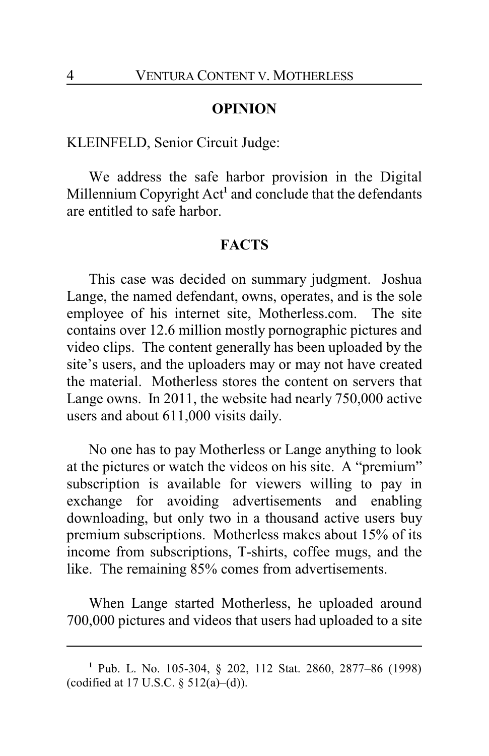#### **OPINION**

### KLEINFELD, Senior Circuit Judge:

We address the safe harbor provision in the Digital Millennium Copyright Act**<sup>1</sup>** and conclude that the defendants are entitled to safe harbor.

#### **FACTS**

This case was decided on summary judgment. Joshua Lange, the named defendant, owns, operates, and is the sole employee of his internet site, Motherless.com. The site contains over 12.6 million mostly pornographic pictures and video clips. The content generally has been uploaded by the site's users, and the uploaders may or may not have created the material. Motherless stores the content on servers that Lange owns. In 2011, the website had nearly 750,000 active users and about 611,000 visits daily.

No one has to pay Motherless or Lange anything to look at the pictures or watch the videos on his site. A "premium" subscription is available for viewers willing to pay in exchange for avoiding advertisements and enabling downloading, but only two in a thousand active users buy premium subscriptions. Motherless makes about 15% of its income from subscriptions, T-shirts, coffee mugs, and the like. The remaining 85% comes from advertisements.

When Lange started Motherless, he uploaded around 700,000 pictures and videos that users had uploaded to a site

**<sup>1</sup>** Pub. L. No. 105-304, § 202, 112 Stat. 2860, 2877–86 (1998) (codified at 17 U.S.C.  $\S$  512(a)–(d)).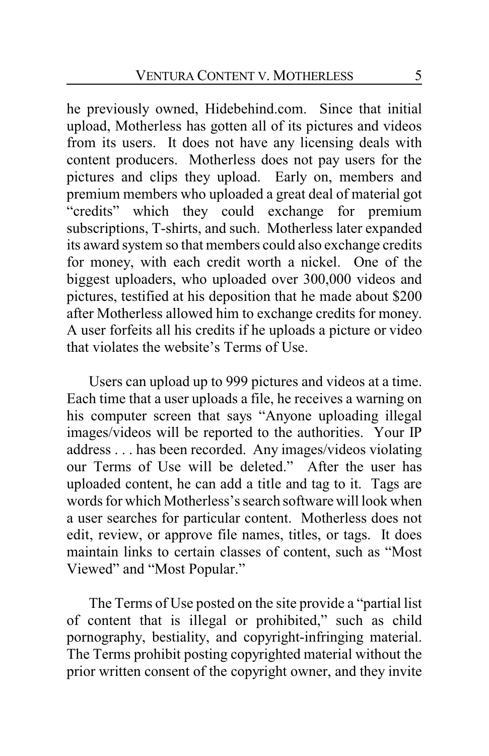he previously owned, Hidebehind.com. Since that initial upload, Motherless has gotten all of its pictures and videos from its users. It does not have any licensing deals with content producers. Motherless does not pay users for the pictures and clips they upload. Early on, members and premium members who uploaded a great deal of material got "credits" which they could exchange for premium subscriptions, T-shirts, and such. Motherless later expanded its award system so that members could also exchange credits for money, with each credit worth a nickel. One of the biggest uploaders, who uploaded over 300,000 videos and pictures, testified at his deposition that he made about \$200 after Motherless allowed him to exchange credits for money. A user forfeits all his credits if he uploads a picture or video that violates the website's Terms of Use.

Users can upload up to 999 pictures and videos at a time. Each time that a user uploads a file, he receives a warning on his computer screen that says "Anyone uploading illegal images/videos will be reported to the authorities. Your IP address . . . has been recorded. Any images/videos violating our Terms of Use will be deleted." After the user has uploaded content, he can add a title and tag to it. Tags are words for which Motherless's search software will look when a user searches for particular content. Motherless does not edit, review, or approve file names, titles, or tags. It does maintain links to certain classes of content, such as "Most Viewed" and "Most Popular."

The Terms of Use posted on the site provide a "partial list of content that is illegal or prohibited," such as child pornography, bestiality, and copyright-infringing material. The Terms prohibit posting copyrighted material without the prior written consent of the copyright owner, and they invite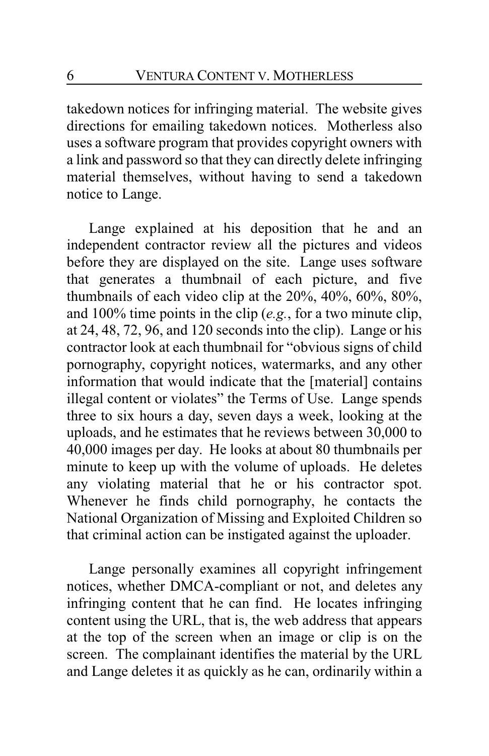takedown notices for infringing material. The website gives directions for emailing takedown notices. Motherless also uses a software program that provides copyright owners with a link and password so that they can directly delete infringing material themselves, without having to send a takedown notice to Lange.

Lange explained at his deposition that he and an independent contractor review all the pictures and videos before they are displayed on the site. Lange uses software that generates a thumbnail of each picture, and five thumbnails of each video clip at the 20%, 40%, 60%, 80%, and 100% time points in the clip (*e.g.*, for a two minute clip, at 24, 48, 72, 96, and 120 seconds into the clip). Lange or his contractor look at each thumbnail for "obvious signs of child pornography, copyright notices, watermarks, and any other information that would indicate that the [material] contains illegal content or violates" the Terms of Use. Lange spends three to six hours a day, seven days a week, looking at the uploads, and he estimates that he reviews between 30,000 to 40,000 images per day. He looks at about 80 thumbnails per minute to keep up with the volume of uploads. He deletes any violating material that he or his contractor spot. Whenever he finds child pornography, he contacts the National Organization of Missing and Exploited Children so that criminal action can be instigated against the uploader.

Lange personally examines all copyright infringement notices, whether DMCA-compliant or not, and deletes any infringing content that he can find. He locates infringing content using the URL, that is, the web address that appears at the top of the screen when an image or clip is on the screen. The complainant identifies the material by the URL and Lange deletes it as quickly as he can, ordinarily within a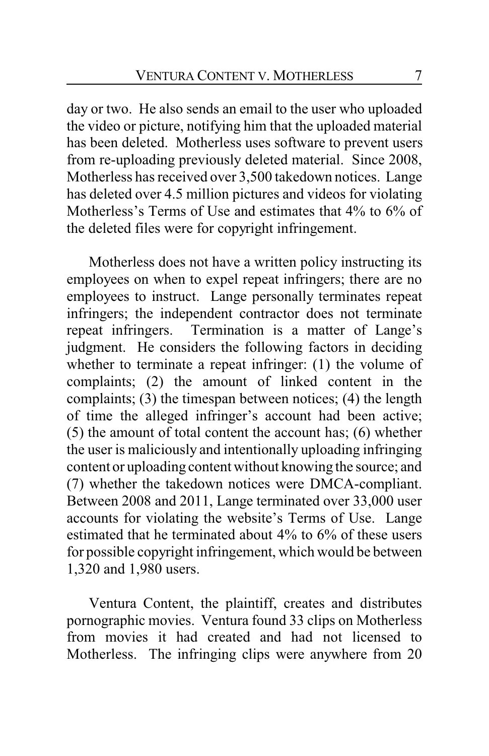day or two. He also sends an email to the user who uploaded the video or picture, notifying him that the uploaded material has been deleted. Motherless uses software to prevent users from re-uploading previously deleted material. Since 2008, Motherless has received over 3,500 takedown notices. Lange has deleted over 4.5 million pictures and videos for violating Motherless's Terms of Use and estimates that 4% to 6% of the deleted files were for copyright infringement.

Motherless does not have a written policy instructing its employees on when to expel repeat infringers; there are no employees to instruct. Lange personally terminates repeat infringers; the independent contractor does not terminate repeat infringers. Termination is a matter of Lange's judgment. He considers the following factors in deciding whether to terminate a repeat infringer: (1) the volume of complaints; (2) the amount of linked content in the complaints; (3) the timespan between notices; (4) the length of time the alleged infringer's account had been active; (5) the amount of total content the account has; (6) whether the user is maliciously and intentionally uploading infringing content or uploading content without knowing the source; and (7) whether the takedown notices were DMCA-compliant. Between 2008 and 2011, Lange terminated over 33,000 user accounts for violating the website's Terms of Use. Lange estimated that he terminated about 4% to 6% of these users for possible copyright infringement, which would be between 1,320 and 1,980 users.

Ventura Content, the plaintiff, creates and distributes pornographic movies. Ventura found 33 clips on Motherless from movies it had created and had not licensed to Motherless. The infringing clips were anywhere from 20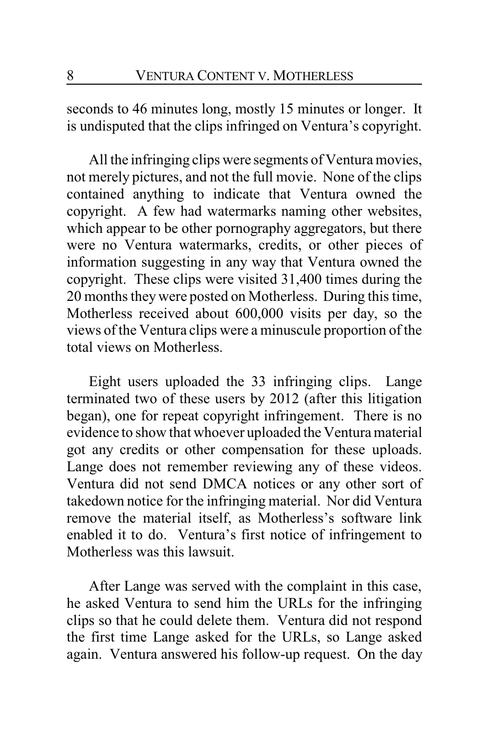seconds to 46 minutes long, mostly 15 minutes or longer. It is undisputed that the clips infringed on Ventura's copyright.

All the infringing clips were segments of Ventura movies, not merely pictures, and not the full movie. None of the clips contained anything to indicate that Ventura owned the copyright. A few had watermarks naming other websites, which appear to be other pornography aggregators, but there were no Ventura watermarks, credits, or other pieces of information suggesting in any way that Ventura owned the copyright. These clips were visited 31,400 times during the 20 months they were posted on Motherless. During this time, Motherless received about 600,000 visits per day, so the views of the Ventura clips were a minuscule proportion of the total views on Motherless.

Eight users uploaded the 33 infringing clips. Lange terminated two of these users by 2012 (after this litigation began), one for repeat copyright infringement. There is no evidence to show that whoever uploaded the Ventura material got any credits or other compensation for these uploads. Lange does not remember reviewing any of these videos. Ventura did not send DMCA notices or any other sort of takedown notice for the infringing material. Nor did Ventura remove the material itself, as Motherless's software link enabled it to do. Ventura's first notice of infringement to Motherless was this lawsuit.

After Lange was served with the complaint in this case, he asked Ventura to send him the URLs for the infringing clips so that he could delete them. Ventura did not respond the first time Lange asked for the URLs, so Lange asked again. Ventura answered his follow-up request. On the day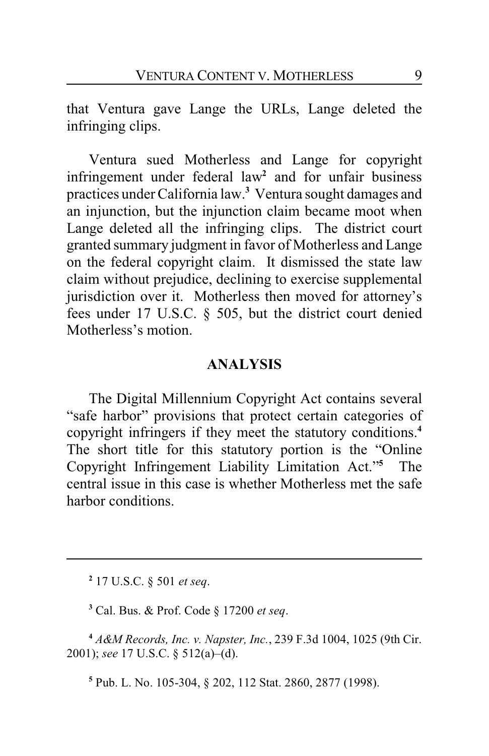that Ventura gave Lange the URLs, Lange deleted the infringing clips.

Ventura sued Motherless and Lange for copyright infringement under federal law**<sup>2</sup>** and for unfair business practices under California law.**<sup>3</sup>** Ventura sought damages and an injunction, but the injunction claim became moot when Lange deleted all the infringing clips. The district court granted summary judgment in favor of Motherless and Lange on the federal copyright claim. It dismissed the state law claim without prejudice, declining to exercise supplemental jurisdiction over it. Motherless then moved for attorney's fees under 17 U.S.C. § 505, but the district court denied Motherless's motion.

### **ANALYSIS**

The Digital Millennium Copyright Act contains several "safe harbor" provisions that protect certain categories of copyright infringers if they meet the statutory conditions.**<sup>4</sup>** The short title for this statutory portion is the "Online Copyright Infringement Liability Limitation Act."**<sup>5</sup>** The central issue in this case is whether Motherless met the safe harbor conditions.

**2** 17 U.S.C. § 501 *et seq*.

**3** Cal. Bus. & Prof. Code § 17200 *et seq*.

**<sup>4</sup>** *A&M Records, Inc. v. Napster, Inc.*, 239 F.3d 1004, 1025 (9th Cir. 2001); *see* 17 U.S.C. § 512(a)–(d).

**5** Pub. L. No. 105-304, § 202, 112 Stat. 2860, 2877 (1998).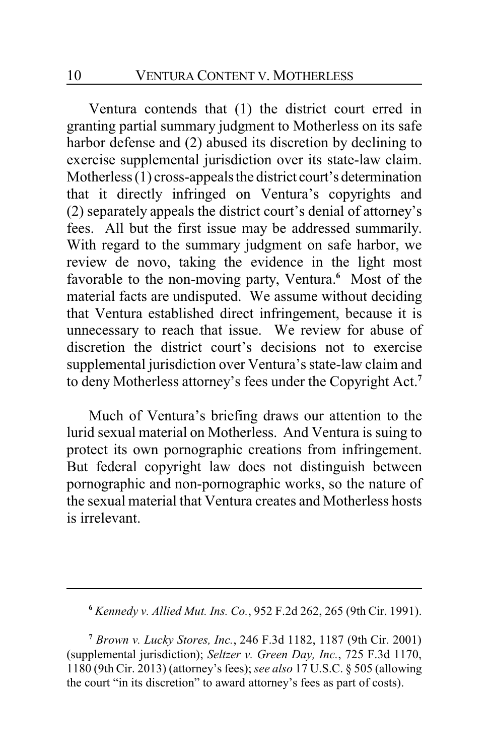Ventura contends that (1) the district court erred in granting partial summary judgment to Motherless on its safe harbor defense and (2) abused its discretion by declining to exercise supplemental jurisdiction over its state-law claim. Motherless (1) cross-appeals the district court's determination that it directly infringed on Ventura's copyrights and (2) separately appeals the district court's denial of attorney's fees. All but the first issue may be addressed summarily. With regard to the summary judgment on safe harbor, we review de novo, taking the evidence in the light most favorable to the non-moving party, Ventura.**<sup>6</sup>** Most of the material facts are undisputed. We assume without deciding that Ventura established direct infringement, because it is unnecessary to reach that issue. We review for abuse of discretion the district court's decisions not to exercise supplemental jurisdiction over Ventura's state-law claim and to deny Motherless attorney's fees under the Copyright Act.**<sup>7</sup>**

Much of Ventura's briefing draws our attention to the lurid sexual material on Motherless. And Ventura is suing to protect its own pornographic creations from infringement. But federal copyright law does not distinguish between pornographic and non-pornographic works, so the nature of the sexual material that Ventura creates and Motherless hosts is irrelevant.

**<sup>7</sup>** *Brown v. Lucky Stores, Inc.*, 246 F.3d 1182, 1187 (9th Cir. 2001) (supplemental jurisdiction); *Seltzer v. Green Day, Inc.*, 725 F.3d 1170, 1180 (9th Cir. 2013) (attorney's fees); *see also* 17 U.S.C. § 505 (allowing the court "in its discretion" to award attorney's fees as part of costs).

**<sup>6</sup>** *Kennedy v. Allied Mut. Ins. Co.*, 952 F.2d 262, 265 (9th Cir. 1991).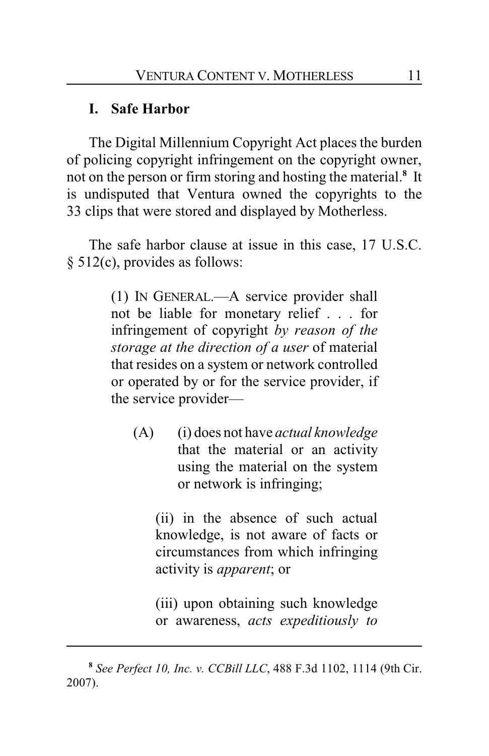## **I. Safe Harbor**

The Digital Millennium Copyright Act places the burden of policing copyright infringement on the copyright owner, not on the person or firm storing and hosting the material.**<sup>8</sup>** It is undisputed that Ventura owned the copyrights to the 33 clips that were stored and displayed by Motherless.

The safe harbor clause at issue in this case, 17 U.S.C. § 512(c), provides as follows:

> (1) IN GENERAL.—A service provider shall not be liable for monetary relief . . . for infringement of copyright *by reason of the storage at the direction of a user* of material that resides on a system or network controlled or operated by or for the service provider, if the service provider—

(A) (i) does not have *actual knowledge* that the material or an activity using the material on the system or network is infringing;

(ii) in the absence of such actual knowledge, is not aware of facts or circumstances from which infringing activity is *apparent*; or

(iii) upon obtaining such knowledge or awareness, *acts expeditiously to*

**<sup>8</sup>** *See Perfect 10, Inc. v. CCBill LLC*, 488 F.3d 1102, 1114 (9th Cir. 2007).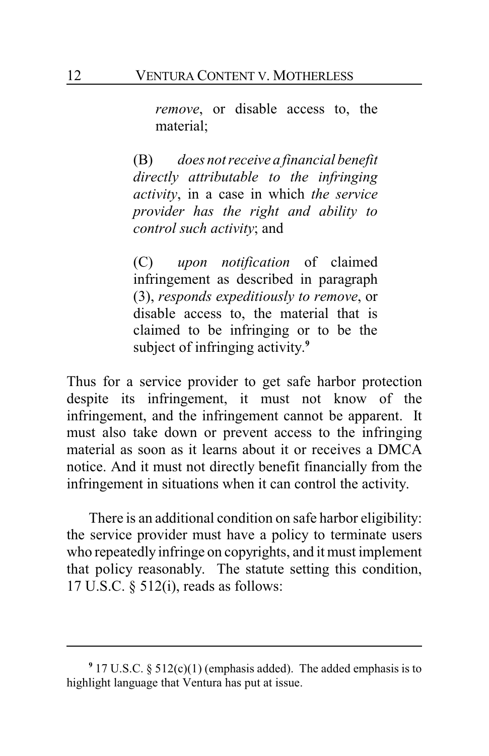*remove*, or disable access to, the material;

(B) *does not receive a financial benefit directly attributable to the infringing activity*, in a case in which *the service provider has the right and ability to control such activity*; and

(C) *upon notification* of claimed infringement as described in paragraph (3), *responds expeditiously to remove*, or disable access to, the material that is claimed to be infringing or to be the subject of infringing activity. **9**

Thus for a service provider to get safe harbor protection despite its infringement, it must not know of the infringement, and the infringement cannot be apparent. It must also take down or prevent access to the infringing material as soon as it learns about it or receives a DMCA notice. And it must not directly benefit financially from the infringement in situations when it can control the activity.

There is an additional condition on safe harbor eligibility: the service provider must have a policy to terminate users who repeatedly infringe on copyrights, and it must implement that policy reasonably. The statute setting this condition, 17 U.S.C. § 512(i), reads as follows:

<sup>&</sup>lt;sup>9</sup> 17 U.S.C. § 512(c)(1) (emphasis added). The added emphasis is to highlight language that Ventura has put at issue.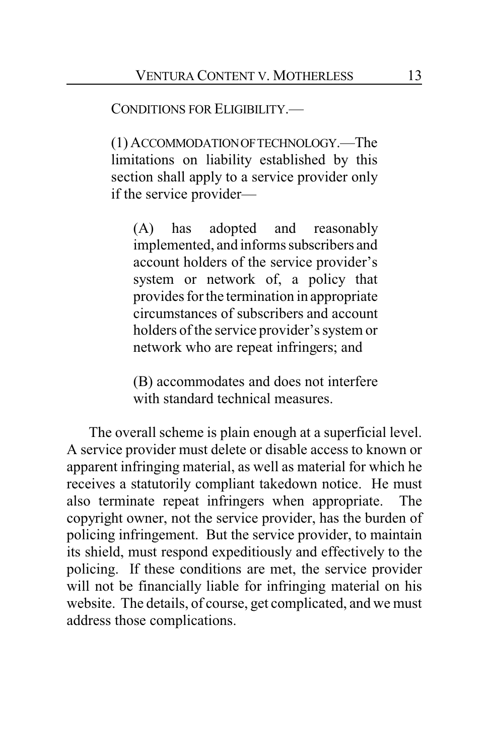CONDITIONS FOR ELIGIBILITY.—

(1) ACCOMMODATIONOFTECHNOLOGY.—The limitations on liability established by this section shall apply to a service provider only if the service provider—

(A) has adopted and reasonably implemented, and informs subscribers and account holders of the service provider's system or network of, a policy that provides for the termination in appropriate circumstances of subscribers and account holders of the service provider's system or network who are repeat infringers; and

(B) accommodates and does not interfere with standard technical measures.

The overall scheme is plain enough at a superficial level. A service provider must delete or disable access to known or apparent infringing material, as well as material for which he receives a statutorily compliant takedown notice. He must also terminate repeat infringers when appropriate. The copyright owner, not the service provider, has the burden of policing infringement. But the service provider, to maintain its shield, must respond expeditiously and effectively to the policing. If these conditions are met, the service provider will not be financially liable for infringing material on his website. The details, of course, get complicated, and we must address those complications.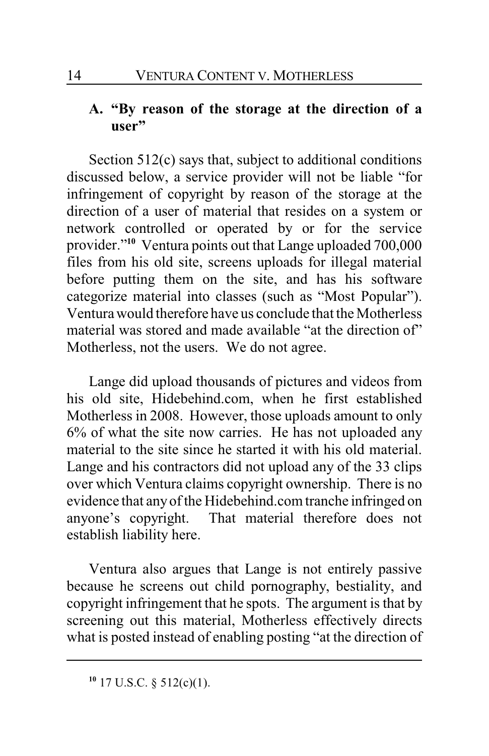## **A. "By reason of the storage at the direction of a user"**

Section 512(c) says that, subject to additional conditions discussed below, a service provider will not be liable "for infringement of copyright by reason of the storage at the direction of a user of material that resides on a system or network controlled or operated by or for the service provider."**<sup>10</sup>** Ventura points out that Lange uploaded 700,000 files from his old site, screens uploads for illegal material before putting them on the site, and has his software categorize material into classes (such as "Most Popular"). Ventura would therefore have us conclude that the Motherless material was stored and made available "at the direction of" Motherless, not the users. We do not agree.

Lange did upload thousands of pictures and videos from his old site, Hidebehind.com, when he first established Motherless in 2008. However, those uploads amount to only 6% of what the site now carries. He has not uploaded any material to the site since he started it with his old material. Lange and his contractors did not upload any of the 33 clips over which Ventura claims copyright ownership. There is no evidence that any of the Hidebehind.com tranche infringed on anyone's copyright. That material therefore does not establish liability here.

Ventura also argues that Lange is not entirely passive because he screens out child pornography, bestiality, and copyright infringement that he spots. The argument is that by screening out this material, Motherless effectively directs what is posted instead of enabling posting "at the direction of

**<sup>10</sup>** 17 U.S.C. § 512(c)(1).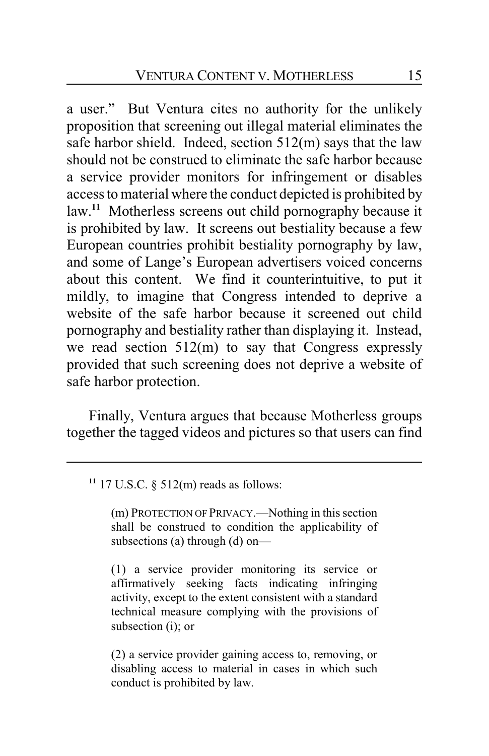a user." But Ventura cites no authority for the unlikely proposition that screening out illegal material eliminates the safe harbor shield. Indeed, section 512(m) says that the law should not be construed to eliminate the safe harbor because a service provider monitors for infringement or disables access to material where the conduct depicted is prohibited by law.**<sup>11</sup>** Motherless screens out child pornography because it is prohibited by law. It screens out bestiality because a few European countries prohibit bestiality pornography by law, and some of Lange's European advertisers voiced concerns about this content. We find it counterintuitive, to put it mildly, to imagine that Congress intended to deprive a website of the safe harbor because it screened out child pornography and bestiality rather than displaying it. Instead, we read section 512(m) to say that Congress expressly provided that such screening does not deprive a website of safe harbor protection.

Finally, Ventura argues that because Motherless groups together the tagged videos and pictures so that users can find

#### **<sup>11</sup>** 17 U.S.C. § 512(m) reads as follows:

(m) PROTECTION OF PRIVACY.—Nothing in this section shall be construed to condition the applicability of subsections (a) through (d) on—

(1) a service provider monitoring its service or affirmatively seeking facts indicating infringing activity, except to the extent consistent with a standard technical measure complying with the provisions of subsection (i); or

(2) a service provider gaining access to, removing, or disabling access to material in cases in which such conduct is prohibited by law.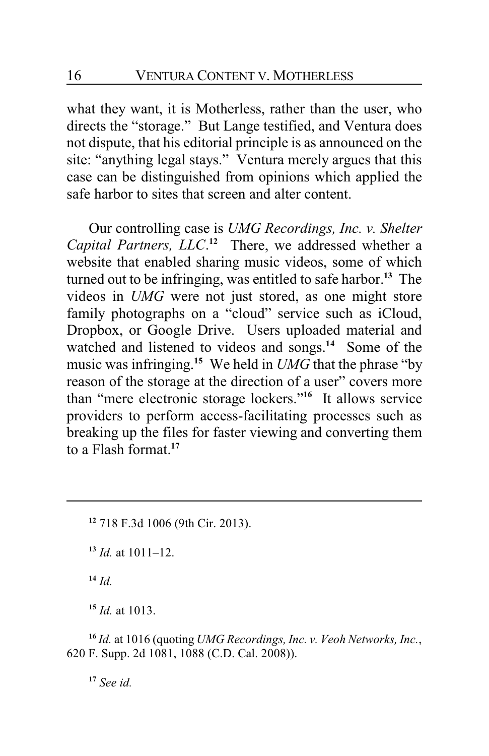what they want, it is Motherless, rather than the user, who directs the "storage." But Lange testified, and Ventura does not dispute, that his editorial principle is as announced on the site: "anything legal stays." Ventura merely argues that this case can be distinguished from opinions which applied the safe harbor to sites that screen and alter content.

Our controlling case is *UMG Recordings, Inc. v. Shelter Capital Partners, LLC*. **<sup>12</sup>** There, we addressed whether a website that enabled sharing music videos, some of which turned out to be infringing, was entitled to safe harbor.**<sup>13</sup>** The videos in *UMG* were not just stored, as one might store family photographs on a "cloud" service such as iCloud, Dropbox, or Google Drive. Users uploaded material and watched and listened to videos and songs.**<sup>14</sup>** Some of the music was infringing. **<sup>15</sup>** We held in *UMG* that the phrase "by reason of the storage at the direction of a user" covers more than "mere electronic storage lockers."**<sup>16</sup>** It allows service providers to perform access-facilitating processes such as breaking up the files for faster viewing and converting them to a Flash format.**<sup>17</sup>**

**<sup>12</sup>** 718 F.3d 1006 (9th Cir. 2013).

**<sup>13</sup>** *Id.* at 1011–12.

**<sup>14</sup>** *Id.*

**<sup>15</sup>** *Id.* at 1013.

**<sup>16</sup>** *Id.* at 1016 (quoting *UMG Recordings, Inc. v. Veoh Networks, Inc.*, 620 F. Supp. 2d 1081, 1088 (C.D. Cal. 2008)).

**<sup>17</sup>** *See id.*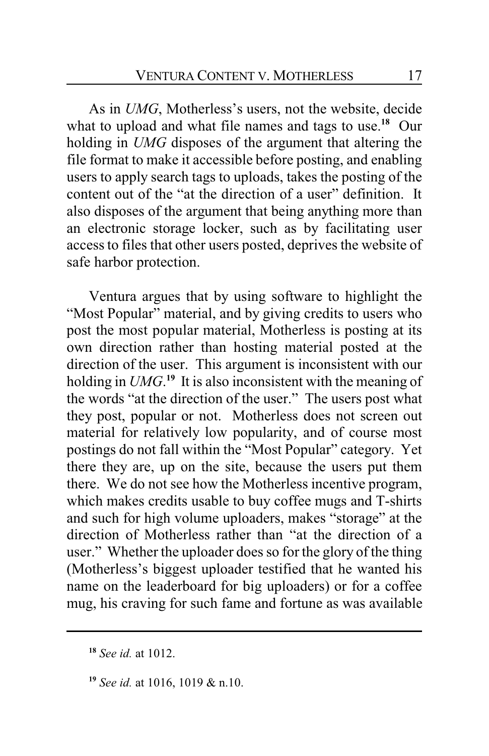As in *UMG*, Motherless's users, not the website, decide what to upload and what file names and tags to use.**<sup>18</sup>** Our holding in *UMG* disposes of the argument that altering the file format to make it accessible before posting, and enabling users to apply search tags to uploads, takes the posting of the content out of the "at the direction of a user" definition. It also disposes of the argument that being anything more than an electronic storage locker, such as by facilitating user access to files that other users posted, deprives the website of safe harbor protection.

Ventura argues that by using software to highlight the "Most Popular" material, and by giving credits to users who post the most popular material, Motherless is posting at its own direction rather than hosting material posted at the direction of the user. This argument is inconsistent with our holding in *UMG*.<sup>19</sup> It is also inconsistent with the meaning of the words "at the direction of the user." The users post what they post, popular or not. Motherless does not screen out material for relatively low popularity, and of course most postings do not fall within the "Most Popular" category. Yet there they are, up on the site, because the users put them there. We do not see how the Motherless incentive program, which makes credits usable to buy coffee mugs and T-shirts and such for high volume uploaders, makes "storage" at the direction of Motherless rather than "at the direction of a user." Whether the uploader does so for the glory of the thing (Motherless's biggest uploader testified that he wanted his name on the leaderboard for big uploaders) or for a coffee mug, his craving for such fame and fortune as was available

**<sup>18</sup>** *See id.* at 1012.

**<sup>19</sup>** *See id.* at 1016, 1019 & n.10.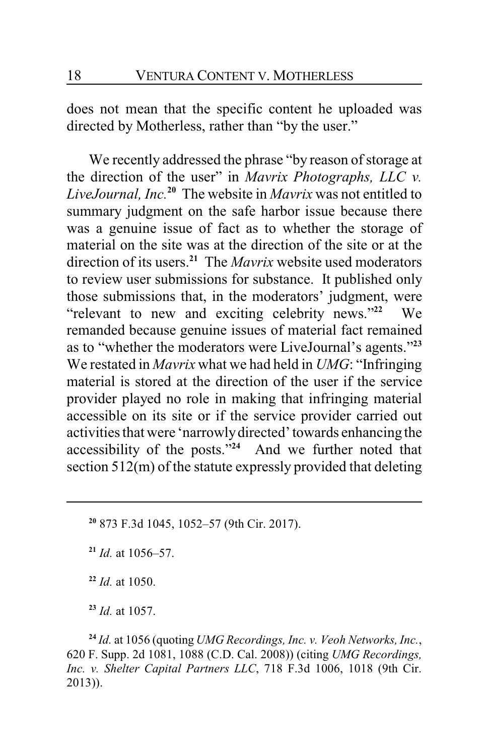does not mean that the specific content he uploaded was directed by Motherless, rather than "by the user."

We recently addressed the phrase "by reason of storage at the direction of the user" in *Mavrix Photographs, LLC v. LiveJournal, Inc.***<sup>20</sup>** The website in *Mavrix* was not entitled to summary judgment on the safe harbor issue because there was a genuine issue of fact as to whether the storage of material on the site was at the direction of the site or at the direction of its users.**<sup>21</sup>** The *Mavrix* website used moderators to review user submissions for substance. It published only those submissions that, in the moderators' judgment, were "relevant to new and exciting celebrity news."**<sup>22</sup>** We remanded because genuine issues of material fact remained as to "whether the moderators were LiveJournal's agents."**<sup>23</sup>** We restated in *Mavrix* what we had held in *UMG*: "Infringing material is stored at the direction of the user if the service provider played no role in making that infringing material accessible on its site or if the service provider carried out activities that were 'narrowlydirected' towards enhancing the accessibility of the posts."**<sup>24</sup>** And we further noted that section 512(m) of the statute expressly provided that deleting

- **<sup>20</sup>** 873 F.3d 1045, 1052–57 (9th Cir. 2017).
- **<sup>21</sup>** *Id.* at 1056–57.
- **<sup>22</sup>** *Id.* at 1050.

**<sup>23</sup>** *Id.* at 1057.

**<sup>24</sup>** *Id.* at 1056 (quoting *UMG Recordings, Inc. v. Veoh Networks, Inc.*, 620 F. Supp. 2d 1081, 1088 (C.D. Cal. 2008)) (citing *UMG Recordings, Inc. v. Shelter Capital Partners LLC*, 718 F.3d 1006, 1018 (9th Cir. 2013)).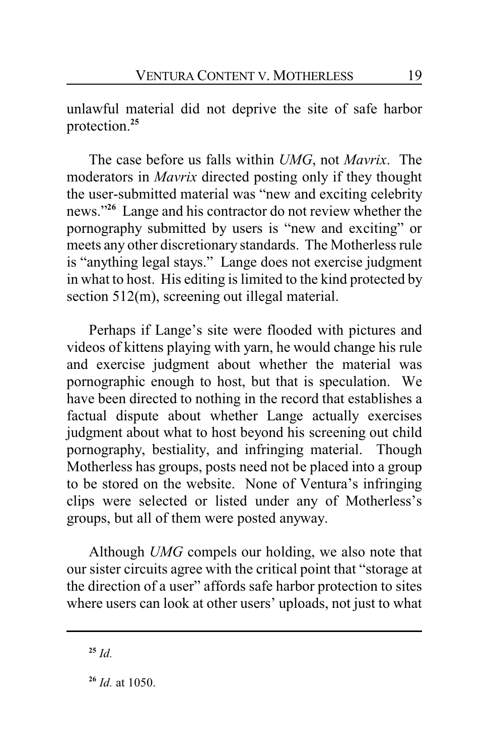unlawful material did not deprive the site of safe harbor protection.**<sup>25</sup>**

The case before us falls within *UMG*, not *Mavrix*. The moderators in *Mavrix* directed posting only if they thought the user-submitted material was "new and exciting celebrity news."**<sup>26</sup>** Lange and his contractor do not review whether the pornography submitted by users is "new and exciting" or meets any other discretionary standards. The Motherless rule is "anything legal stays." Lange does not exercise judgment in what to host. His editing is limited to the kind protected by section 512(m), screening out illegal material.

Perhaps if Lange's site were flooded with pictures and videos of kittens playing with yarn, he would change his rule and exercise judgment about whether the material was pornographic enough to host, but that is speculation. We have been directed to nothing in the record that establishes a factual dispute about whether Lange actually exercises judgment about what to host beyond his screening out child pornography, bestiality, and infringing material. Though Motherless has groups, posts need not be placed into a group to be stored on the website. None of Ventura's infringing clips were selected or listed under any of Motherless's groups, but all of them were posted anyway.

Although *UMG* compels our holding, we also note that our sister circuits agree with the critical point that "storage at the direction of a user" affords safe harbor protection to sites where users can look at other users' uploads, not just to what

**<sup>25</sup>** *Id.*

**<sup>26</sup>** *Id.* at 1050.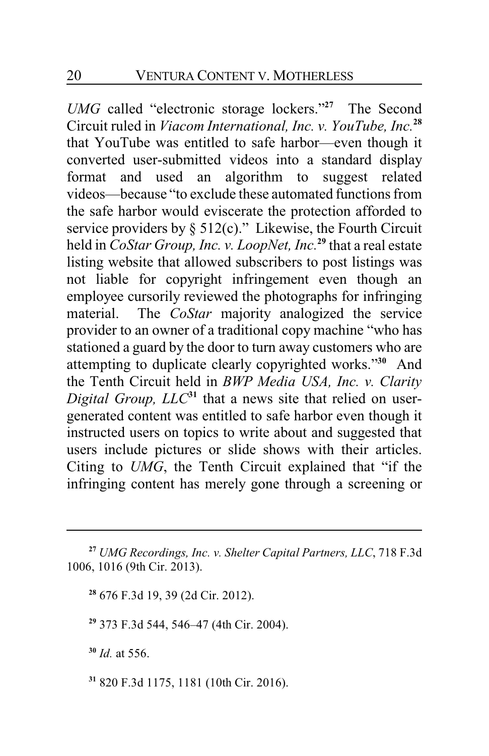*UMG* called "electronic storage lockers."**<sup>27</sup>** The Second Circuit ruled in *Viacom International, Inc. v. YouTube, Inc.***<sup>28</sup>** that YouTube was entitled to safe harbor—even though it converted user-submitted videos into a standard display format and used an algorithm to suggest related videos—because "to exclude these automated functions from the safe harbor would eviscerate the protection afforded to service providers by  $\S 512(c)$ ." Likewise, the Fourth Circuit held in *CoStar Group, Inc. v. LoopNet, Inc.***<sup>29</sup>** that a real estate listing website that allowed subscribers to post listings was not liable for copyright infringement even though an employee cursorily reviewed the photographs for infringing material. The *CoStar* majority analogized the service provider to an owner of a traditional copy machine "who has stationed a guard by the door to turn away customers who are attempting to duplicate clearly copyrighted works."**<sup>30</sup>** And the Tenth Circuit held in *BWP Media USA, Inc. v. Clarity* Digital Group, LLC<sup>31</sup> that a news site that relied on usergenerated content was entitled to safe harbor even though it instructed users on topics to write about and suggested that users include pictures or slide shows with their articles. Citing to *UMG*, the Tenth Circuit explained that "if the infringing content has merely gone through a screening or

**<sup>28</sup>** 676 F.3d 19, 39 (2d Cir. 2012).

**<sup>29</sup>** 373 F.3d 544, 546–47 (4th Cir. 2004).

**<sup>30</sup>** *Id.* at 556.

**31** 820 F.3d 1175, 1181 (10th Cir. 2016).

**<sup>27</sup>** *UMG Recordings, Inc. v. Shelter Capital Partners, LLC*, 718 F.3d 1006, 1016 (9th Cir. 2013).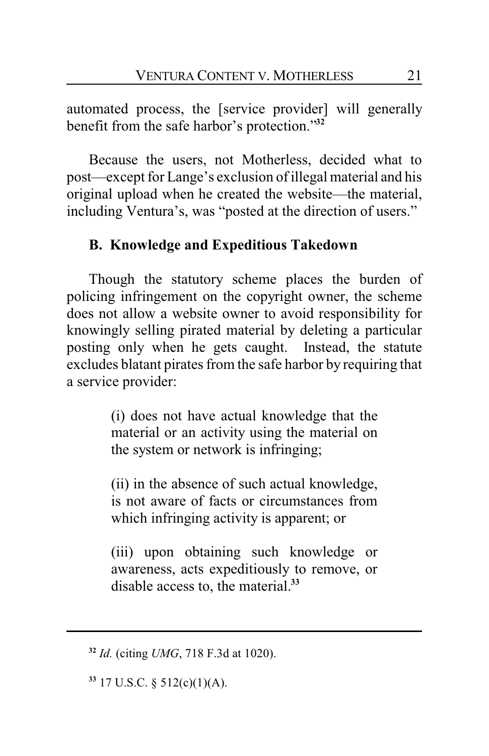automated process, the [service provider] will generally benefit from the safe harbor's protection."**<sup>32</sup>**

Because the users, not Motherless, decided what to post—except for Lange's exclusion of illegal material and his original upload when he created the website—the material, including Ventura's, was "posted at the direction of users."

## **B. Knowledge and Expeditious Takedown**

Though the statutory scheme places the burden of policing infringement on the copyright owner, the scheme does not allow a website owner to avoid responsibility for knowingly selling pirated material by deleting a particular posting only when he gets caught. Instead, the statute excludes blatant pirates from the safe harbor by requiring that a service provider:

> (i) does not have actual knowledge that the material or an activity using the material on the system or network is infringing;

> (ii) in the absence of such actual knowledge, is not aware of facts or circumstances from which infringing activity is apparent; or

> (iii) upon obtaining such knowledge or awareness, acts expeditiously to remove, or disable access to, the material.**<sup>33</sup>**

**33** 17 U.S.C. § 512(c)(1)(A).

**<sup>32</sup>** *Id.* (citing *UMG*, 718 F.3d at 1020).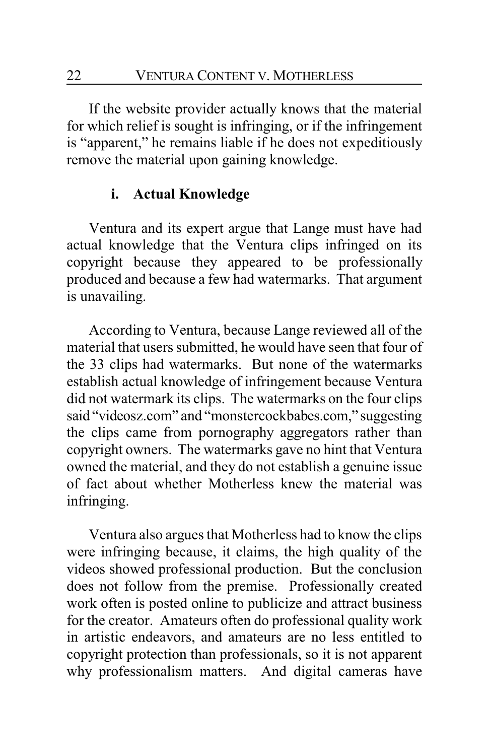If the website provider actually knows that the material for which relief is sought is infringing, or if the infringement is "apparent," he remains liable if he does not expeditiously remove the material upon gaining knowledge.

### **i. Actual Knowledge**

Ventura and its expert argue that Lange must have had actual knowledge that the Ventura clips infringed on its copyright because they appeared to be professionally produced and because a few had watermarks. That argument is unavailing.

According to Ventura, because Lange reviewed all of the material that users submitted, he would have seen that four of the 33 clips had watermarks. But none of the watermarks establish actual knowledge of infringement because Ventura did not watermark its clips. The watermarks on the four clips said "videosz.com" and "monstercockbabes.com," suggesting the clips came from pornography aggregators rather than copyright owners. The watermarks gave no hint that Ventura owned the material, and they do not establish a genuine issue of fact about whether Motherless knew the material was infringing.

Ventura also argues that Motherless had to know the clips were infringing because, it claims, the high quality of the videos showed professional production. But the conclusion does not follow from the premise. Professionally created work often is posted online to publicize and attract business for the creator. Amateurs often do professional quality work in artistic endeavors, and amateurs are no less entitled to copyright protection than professionals, so it is not apparent why professionalism matters. And digital cameras have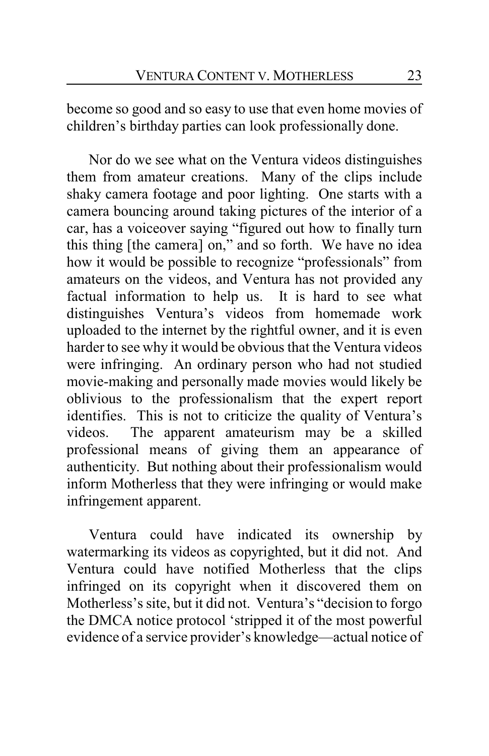become so good and so easy to use that even home movies of children's birthday parties can look professionally done.

Nor do we see what on the Ventura videos distinguishes them from amateur creations. Many of the clips include shaky camera footage and poor lighting. One starts with a camera bouncing around taking pictures of the interior of a car, has a voiceover saying "figured out how to finally turn this thing [the camera] on," and so forth. We have no idea how it would be possible to recognize "professionals" from amateurs on the videos, and Ventura has not provided any factual information to help us. It is hard to see what distinguishes Ventura's videos from homemade work uploaded to the internet by the rightful owner, and it is even harder to see why it would be obvious that the Ventura videos were infringing. An ordinary person who had not studied movie-making and personally made movies would likely be oblivious to the professionalism that the expert report identifies. This is not to criticize the quality of Ventura's videos. The apparent amateurism may be a skilled professional means of giving them an appearance of authenticity. But nothing about their professionalism would inform Motherless that they were infringing or would make infringement apparent.

Ventura could have indicated its ownership by watermarking its videos as copyrighted, but it did not. And Ventura could have notified Motherless that the clips infringed on its copyright when it discovered them on Motherless's site, but it did not. Ventura's "decision to forgo the DMCA notice protocol 'stripped it of the most powerful evidence of a service provider's knowledge—actual notice of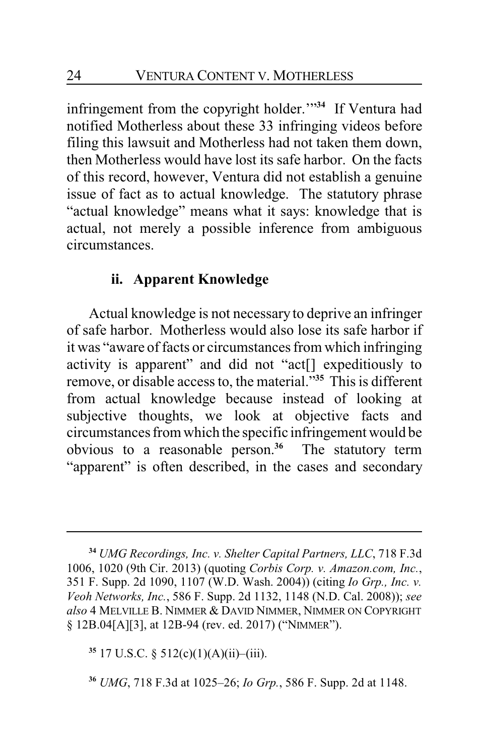infringement from the copyright holder.'"**<sup>34</sup>** If Ventura had notified Motherless about these 33 infringing videos before filing this lawsuit and Motherless had not taken them down, then Motherless would have lost its safe harbor. On the facts of this record, however, Ventura did not establish a genuine issue of fact as to actual knowledge. The statutory phrase "actual knowledge" means what it says: knowledge that is actual, not merely a possible inference from ambiguous circumstances.

## **ii. Apparent Knowledge**

Actual knowledge is not necessary to deprive an infringer of safe harbor. Motherless would also lose its safe harbor if it was "aware of facts or circumstances from which infringing activity is apparent" and did not "act[] expeditiously to remove, or disable access to, the material."**<sup>35</sup>** This is different from actual knowledge because instead of looking at subjective thoughts, we look at objective facts and circumstances from which the specific infringement would be obvious to a reasonable person.**<sup>36</sup>** The statutory term "apparent" is often described, in the cases and secondary

**<sup>34</sup>** *UMG Recordings, Inc. v. Shelter Capital Partners, LLC*, 718 F.3d 1006, 1020 (9th Cir. 2013) (quoting *Corbis Corp. v. Amazon.com, Inc.*, 351 F. Supp. 2d 1090, 1107 (W.D. Wash. 2004)) (citing *Io Grp., Inc. v. Veoh Networks, Inc.*, 586 F. Supp. 2d 1132, 1148 (N.D. Cal. 2008)); *see also* 4 MELVILLE B. NIMMER & DAVID NIMMER, NIMMER ON COPYRIGHT § 12B.04[A][3], at 12B-94 (rev. ed. 2017) ("NIMMER").

**<sup>35</sup>** 17 U.S.C. § 512(c)(1)(A)(ii)–(iii).

**<sup>36</sup>** *UMG*, 718 F.3d at 1025–26; *Io Grp.*, 586 F. Supp. 2d at 1148.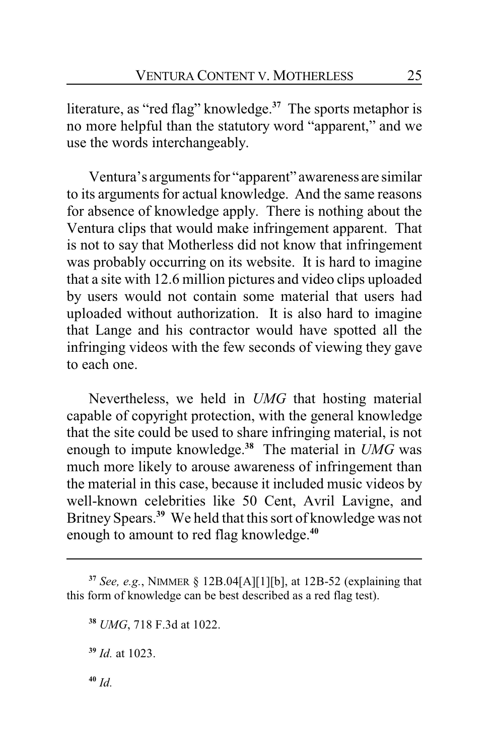literature, as "red flag" knowledge.**<sup>37</sup>** The sports metaphor is no more helpful than the statutory word "apparent," and we use the words interchangeably.

Ventura's arguments for "apparent" awareness are similar to its arguments for actual knowledge. And the same reasons for absence of knowledge apply. There is nothing about the Ventura clips that would make infringement apparent. That is not to say that Motherless did not know that infringement was probably occurring on its website. It is hard to imagine that a site with 12.6 million pictures and video clips uploaded by users would not contain some material that users had uploaded without authorization. It is also hard to imagine that Lange and his contractor would have spotted all the infringing videos with the few seconds of viewing they gave to each one.

Nevertheless, we held in *UMG* that hosting material capable of copyright protection, with the general knowledge that the site could be used to share infringing material, is not enough to impute knowledge.**<sup>38</sup>** The material in *UMG* was much more likely to arouse awareness of infringement than the material in this case, because it included music videos by well-known celebrities like 50 Cent, Avril Lavigne, and Britney Spears.**<sup>39</sup>** We held that this sort of knowledge was not enough to amount to red flag knowledge.**<sup>40</sup>**

**<sup>40</sup>** *Id.*

**<sup>37</sup>** *See, e.g.*, NIMMER § 12B.04[A][1][b], at 12B-52 (explaining that this form of knowledge can be best described as a red flag test).

**<sup>38</sup>** *UMG*, 718 F.3d at 1022.

**<sup>39</sup>** *Id.* at 1023.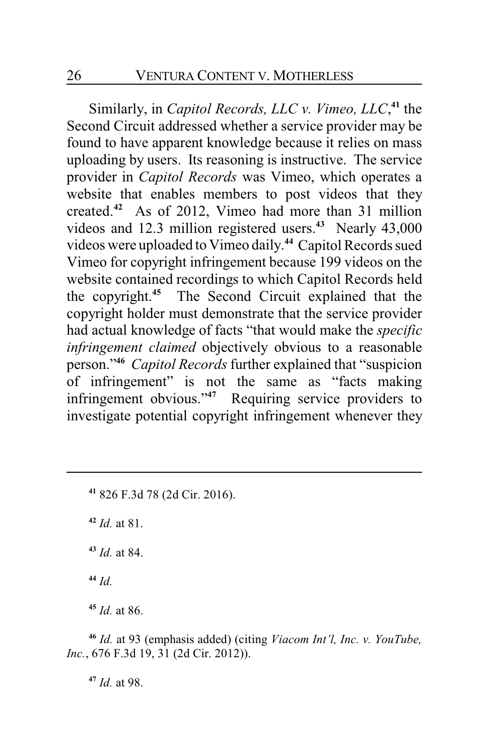Similarly, in *Capitol Records, LLC v. Vimeo, LLC*, **41** the Second Circuit addressed whether a service provider may be found to have apparent knowledge because it relies on mass uploading by users. Its reasoning is instructive. The service provider in *Capitol Records* was Vimeo, which operates a website that enables members to post videos that they created. **<sup>42</sup>** As of 2012, Vimeo had more than 31 million videos and 12.3 million registered users.**<sup>43</sup>** Nearly 43,000 videos were uploaded to Vimeo daily. **<sup>44</sup>** Capitol Records sued Vimeo for copyright infringement because 199 videos on the website contained recordings to which Capitol Records held the copyright.**<sup>45</sup>** The Second Circuit explained that the copyright holder must demonstrate that the service provider had actual knowledge of facts "that would make the *specific infringement claimed* objectively obvious to a reasonable person."**<sup>46</sup>** *Capitol Records* further explained that "suspicion of infringement" is not the same as "facts making infringement obvious."**<sup>47</sup>** Requiring service providers to investigate potential copyright infringement whenever they

**<sup>41</sup>** 826 F.3d 78 (2d Cir. 2016).

**<sup>42</sup>** *Id.* at 81.

**<sup>43</sup>** *Id.* at 84.

**<sup>44</sup>** *Id.*

**<sup>45</sup>** *Id.* at 86.

**<sup>46</sup>** *Id.* at 93 (emphasis added) (citing *Viacom Int'l, Inc. v. YouTube, Inc.*, 676 F.3d 19, 31 (2d Cir. 2012)).

**<sup>47</sup>** *Id.* at 98.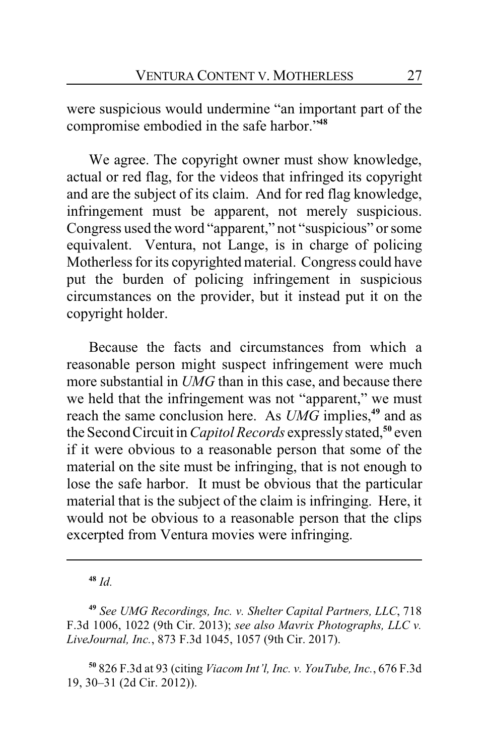were suspicious would undermine "an important part of the compromise embodied in the safe harbor."**<sup>48</sup>**

We agree. The copyright owner must show knowledge, actual or red flag, for the videos that infringed its copyright and are the subject of its claim. And for red flag knowledge, infringement must be apparent, not merely suspicious. Congress used the word "apparent," not "suspicious" or some equivalent. Ventura, not Lange, is in charge of policing Motherless for its copyrighted material. Congress could have put the burden of policing infringement in suspicious circumstances on the provider, but it instead put it on the copyright holder.

Because the facts and circumstances from which a reasonable person might suspect infringement were much more substantial in *UMG* than in this case, and because there we held that the infringement was not "apparent," we must reach the same conclusion here. As *UMG* implies,**<sup>49</sup>** and as the SecondCircuit in *Capitol Records* expresslystated,**<sup>50</sup>** even if it were obvious to a reasonable person that some of the material on the site must be infringing, that is not enough to lose the safe harbor. It must be obvious that the particular material that is the subject of the claim is infringing. Here, it would not be obvious to a reasonable person that the clips excerpted from Ventura movies were infringing.

**<sup>48</sup>** *Id.*

**<sup>50</sup>** 826 F.3d at 93 (citing *Viacom Int'l, Inc. v. YouTube, Inc.*, 676 F.3d 19, 30–31 (2d Cir. 2012)).

**<sup>49</sup>** *See UMG Recordings, Inc. v. Shelter Capital Partners, LLC*, 718 F.3d 1006, 1022 (9th Cir. 2013); *see also Mavrix Photographs, LLC v. LiveJournal, Inc.*, 873 F.3d 1045, 1057 (9th Cir. 2017).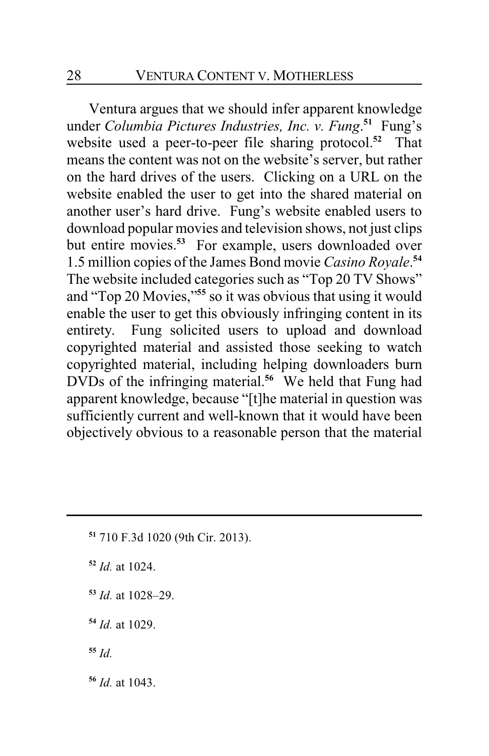Ventura argues that we should infer apparent knowledge under *Columbia Pictures Industries, Inc. v. Fung*. **<sup>51</sup>** Fung's website used a peer-to-peer file sharing protocol.**<sup>52</sup>** That means the content was not on the website's server, but rather on the hard drives of the users. Clicking on a URL on the website enabled the user to get into the shared material on another user's hard drive. Fung's website enabled users to download popular movies and television shows, not just clips but entire movies.**<sup>53</sup>** For example, users downloaded over 1.5 million copies of the James Bond movie *Casino Royale*. **54** The website included categories such as "Top 20 TV Shows" and "Top 20 Movies,"**<sup>55</sup>** so it was obvious that using it would enable the user to get this obviously infringing content in its entirety. Fung solicited users to upload and download copyrighted material and assisted those seeking to watch copyrighted material, including helping downloaders burn DVDs of the infringing material.**<sup>56</sup>** We held that Fung had apparent knowledge, because "[t]he material in question was sufficiently current and well-known that it would have been objectively obvious to a reasonable person that the material

- **<sup>51</sup>** 710 F.3d 1020 (9th Cir. 2013).
- **<sup>52</sup>** *Id.* at 1024.
- **<sup>53</sup>** *Id.* at 1028–29.
- **<sup>54</sup>** *Id.* at 1029.
- **<sup>55</sup>** *Id.*
- **<sup>56</sup>** *Id.* at 1043.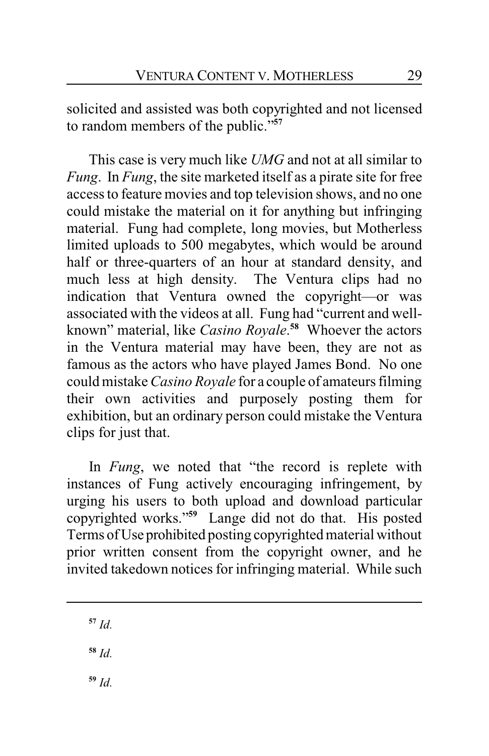solicited and assisted was both copyrighted and not licensed to random members of the public."**<sup>57</sup>**

This case is very much like *UMG* and not at all similar to *Fung*. In *Fung*, the site marketed itself as a pirate site for free access to feature movies and top television shows, and no one could mistake the material on it for anything but infringing material. Fung had complete, long movies, but Motherless limited uploads to 500 megabytes, which would be around half or three-quarters of an hour at standard density, and much less at high density. The Ventura clips had no indication that Ventura owned the copyright—or was associated with the videos at all. Fung had "current and wellknown" material, like *Casino Royale*. **<sup>58</sup>** Whoever the actors in the Ventura material may have been, they are not as famous as the actors who have played James Bond. No one could mistake *Casino Royale* for a couple of amateurs filming their own activities and purposely posting them for exhibition, but an ordinary person could mistake the Ventura clips for just that.

In *Fung*, we noted that "the record is replete with instances of Fung actively encouraging infringement, by urging his users to both upload and download particular copyrighted works."**<sup>59</sup>** Lange did not do that. His posted Terms ofUse prohibited posting copyrighted material without prior written consent from the copyright owner, and he invited takedown notices for infringing material. While such

**<sup>57</sup>** *Id.*

**<sup>58</sup>** *Id.*

**<sup>59</sup>** *Id.*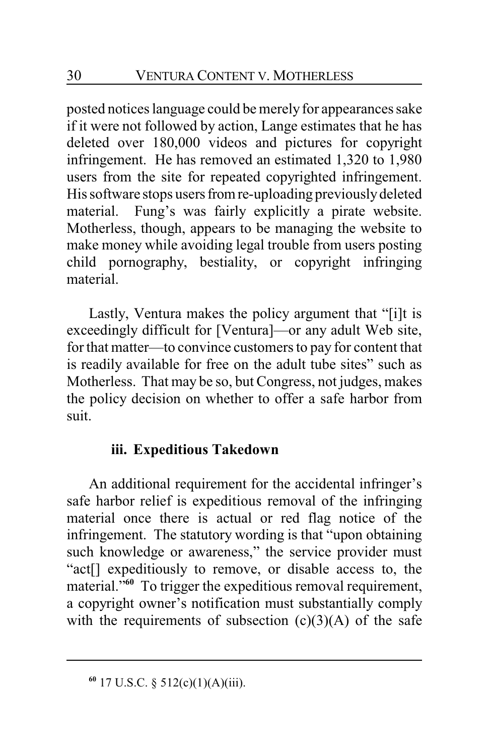posted notices language could be merely for appearances sake if it were not followed by action, Lange estimates that he has deleted over 180,000 videos and pictures for copyright infringement. He has removed an estimated 1,320 to 1,980 users from the site for repeated copyrighted infringement. His software stops users from re-uploading previously deleted material. Fung's was fairly explicitly a pirate website. Motherless, though, appears to be managing the website to make money while avoiding legal trouble from users posting child pornography, bestiality, or copyright infringing material.

Lastly, Ventura makes the policy argument that "[i]t is exceedingly difficult for [Ventura]—or any adult Web site, for that matter—to convince customers to pay for content that is readily available for free on the adult tube sites" such as Motherless. That may be so, but Congress, not judges, makes the policy decision on whether to offer a safe harbor from suit.

## **iii. Expeditious Takedown**

An additional requirement for the accidental infringer's safe harbor relief is expeditious removal of the infringing material once there is actual or red flag notice of the infringement. The statutory wording is that "upon obtaining such knowledge or awareness," the service provider must "act[] expeditiously to remove, or disable access to, the material.<sup>"60</sup> To trigger the expeditious removal requirement, a copyright owner's notification must substantially comply with the requirements of subsection  $(c)(3)(A)$  of the safe

**<sup>60</sup>** 17 U.S.C. § 512(c)(1)(A)(iii).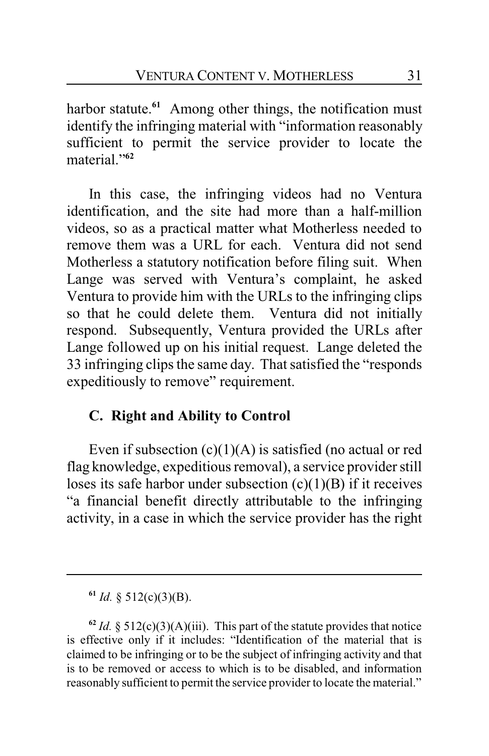harbor statute.<sup>61</sup> Among other things, the notification must identify the infringing material with "information reasonably sufficient to permit the service provider to locate the material."**<sup>62</sup>**

In this case, the infringing videos had no Ventura identification, and the site had more than a half-million videos, so as a practical matter what Motherless needed to remove them was a URL for each. Ventura did not send Motherless a statutory notification before filing suit. When Lange was served with Ventura's complaint, he asked Ventura to provide him with the URLs to the infringing clips so that he could delete them. Ventura did not initially respond. Subsequently, Ventura provided the URLs after Lange followed up on his initial request. Lange deleted the 33 infringing clips the same day. That satisfied the "responds expeditiously to remove" requirement.

## **C. Right and Ability to Control**

Even if subsection  $(c)(1)(A)$  is satisfied (no actual or red flag knowledge, expeditious removal), a service provider still loses its safe harbor under subsection  $(c)(1)(B)$  if it receives "a financial benefit directly attributable to the infringing activity, in a case in which the service provider has the right

**<sup>61</sup>** *Id.* § 512(c)(3)(B).

 $62$  *Id.* § 512(c)(3)(A)(iii). This part of the statute provides that notice is effective only if it includes: "Identification of the material that is claimed to be infringing or to be the subject of infringing activity and that is to be removed or access to which is to be disabled, and information reasonably sufficient to permit the service provider to locate the material."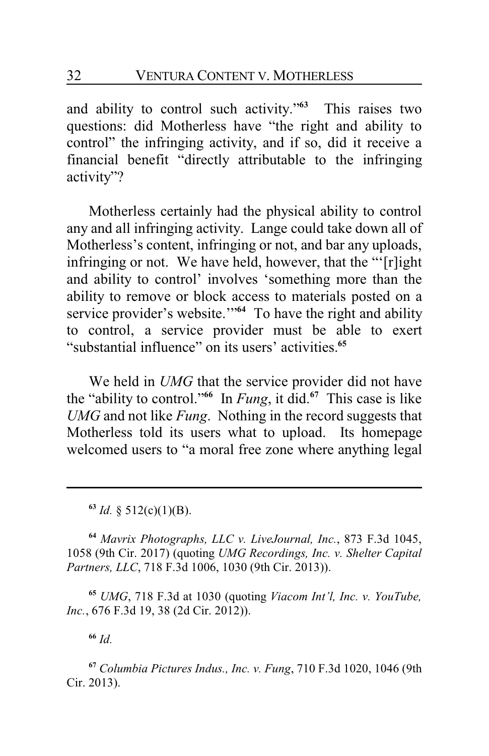and ability to control such activity." **<sup>63</sup>** This raises two questions: did Motherless have "the right and ability to control" the infringing activity, and if so, did it receive a financial benefit "directly attributable to the infringing activity"?

Motherless certainly had the physical ability to control any and all infringing activity. Lange could take down all of Motherless's content, infringing or not, and bar any uploads, infringing or not. We have held, however, that the "'[r]ight and ability to control' involves 'something more than the ability to remove or block access to materials posted on a service provider's website."<sup>64</sup> To have the right and ability to control, a service provider must be able to exert "substantial influence" on its users' activities.**<sup>65</sup>**

We held in *UMG* that the service provider did not have the "ability to control."**<sup>66</sup>** In *Fung*, it did.**<sup>67</sup>** This case is like *UMG* and not like *Fung*. Nothing in the record suggests that Motherless told its users what to upload. Its homepage welcomed users to "a moral free zone where anything legal

**<sup>64</sup>** *Mavrix Photographs, LLC v. LiveJournal, Inc.*, 873 F.3d 1045, 1058 (9th Cir. 2017) (quoting *UMG Recordings, Inc. v. Shelter Capital Partners, LLC*, 718 F.3d 1006, 1030 (9th Cir. 2013)).

**<sup>65</sup>** *UMG*, 718 F.3d at 1030 (quoting *Viacom Int'l, Inc. v. YouTube, Inc.*, 676 F.3d 19, 38 (2d Cir. 2012)).

**<sup>66</sup>** *Id.*

**<sup>67</sup>** *Columbia Pictures Indus., Inc. v. Fung*, 710 F.3d 1020, 1046 (9th Cir. 2013).

**<sup>63</sup>** *Id.* § 512(c)(1)(B).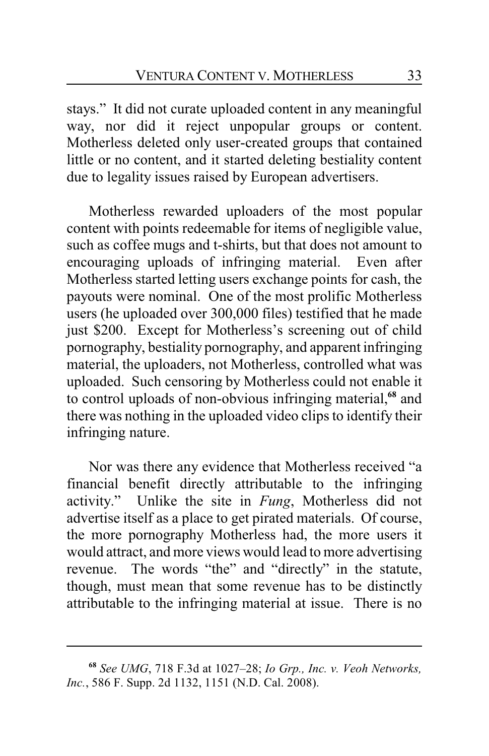stays." It did not curate uploaded content in any meaningful way, nor did it reject unpopular groups or content. Motherless deleted only user-created groups that contained little or no content, and it started deleting bestiality content due to legality issues raised by European advertisers.

Motherless rewarded uploaders of the most popular content with points redeemable for items of negligible value, such as coffee mugs and t-shirts, but that does not amount to encouraging uploads of infringing material. Even after Motherless started letting users exchange points for cash, the payouts were nominal. One of the most prolific Motherless users (he uploaded over 300,000 files) testified that he made just \$200. Except for Motherless's screening out of child pornography, bestiality pornography, and apparent infringing material, the uploaders, not Motherless, controlled what was uploaded. Such censoring by Motherless could not enable it to control uploads of non-obvious infringing material,**<sup>68</sup>** and there was nothing in the uploaded video clips to identify their infringing nature.

Nor was there any evidence that Motherless received "a financial benefit directly attributable to the infringing activity." Unlike the site in *Fung*, Motherless did not advertise itself as a place to get pirated materials. Of course, the more pornography Motherless had, the more users it would attract, and more views would lead to more advertising revenue. The words "the" and "directly" in the statute, though, must mean that some revenue has to be distinctly attributable to the infringing material at issue. There is no

**<sup>68</sup>** *See UMG*, 718 F.3d at 1027–28; *Io Grp., Inc. v. Veoh Networks, Inc.*, 586 F. Supp. 2d 1132, 1151 (N.D. Cal. 2008).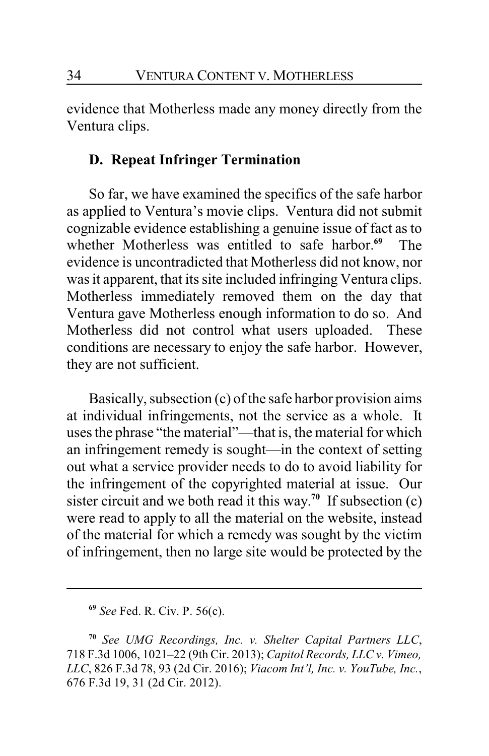evidence that Motherless made any money directly from the Ventura clips.

## **D. Repeat Infringer Termination**

So far, we have examined the specifics of the safe harbor as applied to Ventura's movie clips. Ventura did not submit cognizable evidence establishing a genuine issue of fact as to whether Motherless was entitled to safe harbor.**<sup>69</sup>** The evidence is uncontradicted that Motherless did not know, nor was it apparent, that its site included infringing Ventura clips. Motherless immediately removed them on the day that Ventura gave Motherless enough information to do so. And Motherless did not control what users uploaded. These conditions are necessary to enjoy the safe harbor. However, they are not sufficient.

Basically, subsection (c) of the safe harbor provision aims at individual infringements, not the service as a whole. It uses the phrase "the material"—that is, the material for which an infringement remedy is sought—in the context of setting out what a service provider needs to do to avoid liability for the infringement of the copyrighted material at issue. Our sister circuit and we both read it this way.<sup>70</sup> If subsection  $(c)$ were read to apply to all the material on the website, instead of the material for which a remedy was sought by the victim of infringement, then no large site would be protected by the

**<sup>69</sup>** *See* Fed. R. Civ. P. 56(c).

**<sup>70</sup>** *See UMG Recordings, Inc. v. Shelter Capital Partners LLC*, 718 F.3d 1006, 1021–22 (9th Cir. 2013); *Capitol Records, LLC v. Vimeo, LLC*, 826 F.3d 78, 93 (2d Cir. 2016); *Viacom Int'l, Inc. v. YouTube, Inc.*, 676 F.3d 19, 31 (2d Cir. 2012).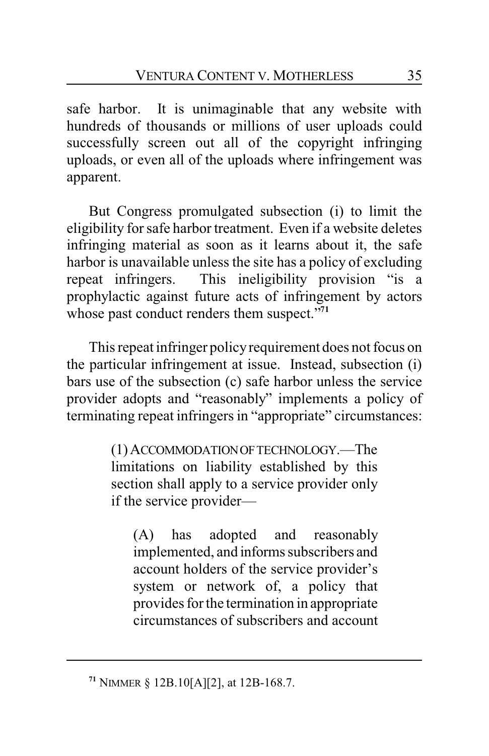safe harbor. It is unimaginable that any website with hundreds of thousands or millions of user uploads could successfully screen out all of the copyright infringing uploads, or even all of the uploads where infringement was apparent.

But Congress promulgated subsection (i) to limit the eligibility for safe harbor treatment. Even if a website deletes infringing material as soon as it learns about it, the safe harbor is unavailable unless the site has a policy of excluding repeat infringers. This ineligibility provision "is a prophylactic against future acts of infringement by actors whose past conduct renders them suspect."**<sup>71</sup>**

This repeat infringer policyrequirement does not focus on the particular infringement at issue. Instead, subsection (i) bars use of the subsection (c) safe harbor unless the service provider adopts and "reasonably" implements a policy of terminating repeat infringers in "appropriate" circumstances:

> (1)ACCOMMODATIONOFTECHNOLOGY.—The limitations on liability established by this section shall apply to a service provider only if the service provider—

(A) has adopted and reasonably implemented, and informs subscribers and account holders of the service provider's system or network of, a policy that provides for the termination in appropriate circumstances of subscribers and account

**<sup>71</sup>** NIMMER § 12B.10[A][2], at 12B-168.7.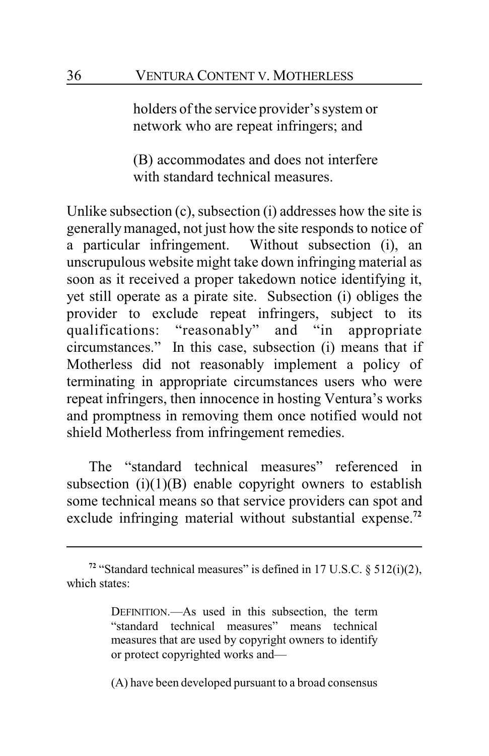holders of the service provider's system or network who are repeat infringers; and

(B) accommodates and does not interfere with standard technical measures.

Unlike subsection (c), subsection (i) addresses how the site is generallymanaged, not just how the site responds to notice of a particular infringement. Without subsection (i), an unscrupulous website might take down infringing material as soon as it received a proper takedown notice identifying it, yet still operate as a pirate site. Subsection (i) obliges the provider to exclude repeat infringers, subject to its qualifications: "reasonably" and "in appropriate circumstances." In this case, subsection (i) means that if Motherless did not reasonably implement a policy of terminating in appropriate circumstances users who were repeat infringers, then innocence in hosting Ventura's works and promptness in removing them once notified would not shield Motherless from infringement remedies.

The "standard technical measures" referenced in subsection  $(i)(1)(B)$  enable copyright owners to establish some technical means so that service providers can spot and exclude infringing material without substantial expense.**<sup>72</sup>**

(A) have been developed pursuant to a broad consensus

<sup>&</sup>lt;sup>72</sup> "Standard technical measures" is defined in 17 U.S.C.  $\S$  512(i)(2), which states:

DEFINITION.—As used in this subsection, the term "standard technical measures" means technical measures that are used by copyright owners to identify or protect copyrighted works and—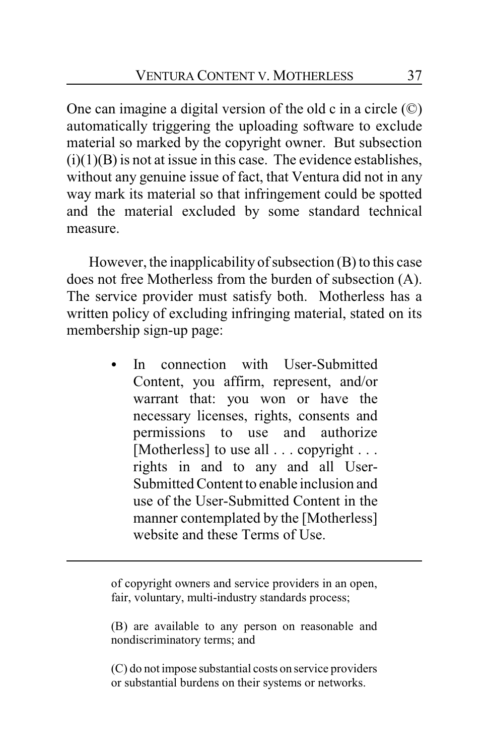One can imagine a digital version of the old c in a circle (©) automatically triggering the uploading software to exclude material so marked by the copyright owner. But subsection  $(i)(1)(B)$  is not at issue in this case. The evidence establishes, without any genuine issue of fact, that Ventura did not in any way mark its material so that infringement could be spotted and the material excluded by some standard technical measure.

However, the inapplicability of subsection (B) to this case does not free Motherless from the burden of subsection (A). The service provider must satisfy both. Motherless has a written policy of excluding infringing material, stated on its membership sign-up page:

> In connection with User-Submitted Content, you affirm, represent, and/or warrant that: you won or have the necessary licenses, rights, consents and permissions to use and authorize [Motherless] to use all . . . copyright . . . rights in and to any and all User-Submitted Content to enable inclusion and use of the User-Submitted Content in the manner contemplated by the [Motherless] website and these Terms of Use.

of copyright owners and service providers in an open, fair, voluntary, multi-industry standards process;

(B) are available to any person on reasonable and nondiscriminatory terms; and

(C) do not impose substantial costs on service providers or substantial burdens on their systems or networks.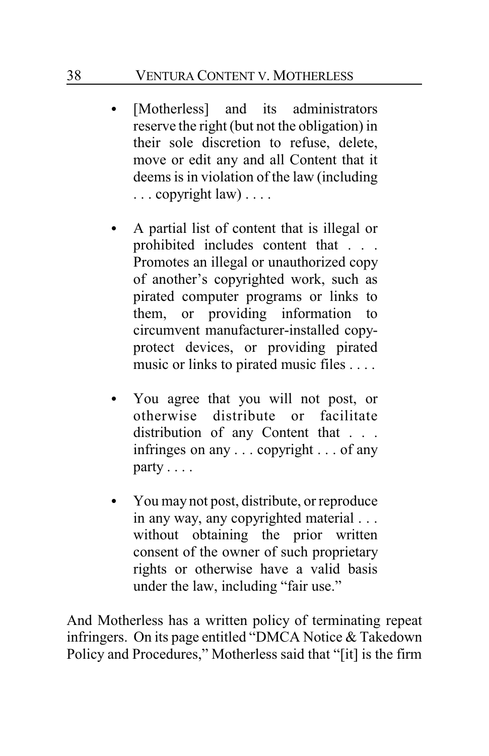### 38 VENTURA CONTENT V. MOTHERLESS

- [Motherless] and its administrators reserve the right (but not the obligation) in their sole discretion to refuse, delete, move or edit any and all Content that it deems is in violation of the law (including . . . copyright law) . . . .
- C A partial list of content that is illegal or prohibited includes content that . . . Promotes an illegal or unauthorized copy of another's copyrighted work, such as pirated computer programs or links to them, or providing information to circumvent manufacturer-installed copyprotect devices, or providing pirated music or links to pirated music files . . . .
- You agree that you will not post, or otherwise distribute or facilitate distribution of any Content that . . . infringes on any . . . copyright . . . of any party . . . .
- You may not post, distribute, or reproduce in any way, any copyrighted material . . . without obtaining the prior written consent of the owner of such proprietary rights or otherwise have a valid basis under the law, including "fair use."

And Motherless has a written policy of terminating repeat infringers. On its page entitled "DMCA Notice & Takedown Policy and Procedures," Motherless said that "[it] is the firm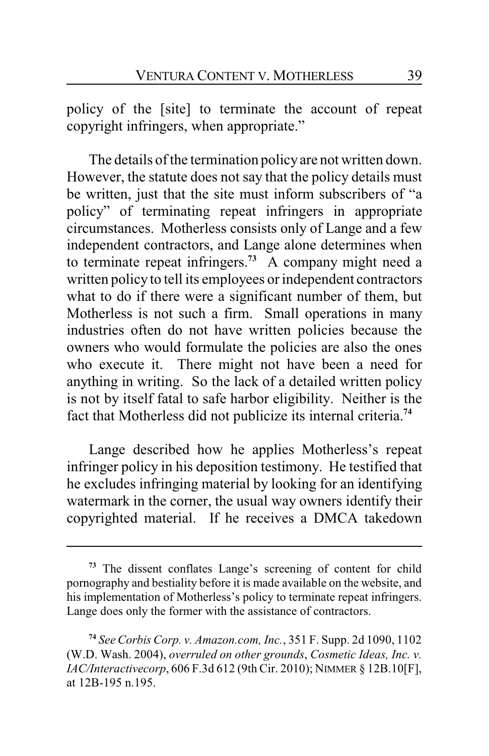policy of the [site] to terminate the account of repeat copyright infringers, when appropriate."

The details of the termination policyare not written down. However, the statute does not say that the policy details must be written, just that the site must inform subscribers of "a policy" of terminating repeat infringers in appropriate circumstances. Motherless consists only of Lange and a few independent contractors, and Lange alone determines when to terminate repeat infringers.**<sup>73</sup>** A company might need a written policy to tell its employees or independent contractors what to do if there were a significant number of them, but Motherless is not such a firm. Small operations in many industries often do not have written policies because the owners who would formulate the policies are also the ones who execute it. There might not have been a need for anything in writing. So the lack of a detailed written policy is not by itself fatal to safe harbor eligibility. Neither is the fact that Motherless did not publicize its internal criteria.**<sup>74</sup>**

Lange described how he applies Motherless's repeat infringer policy in his deposition testimony. He testified that he excludes infringing material by looking for an identifying watermark in the corner, the usual way owners identify their copyrighted material. If he receives a DMCA takedown

**<sup>73</sup>** The dissent conflates Lange's screening of content for child pornography and bestiality before it is made available on the website, and his implementation of Motherless's policy to terminate repeat infringers. Lange does only the former with the assistance of contractors.

**<sup>74</sup>** *See Corbis Corp. v. Amazon.com, Inc.*, 351 F. Supp. 2d 1090, 1102 (W.D. Wash. 2004), *overruled on other grounds*, *Cosmetic Ideas, Inc. v. IAC/Interactivecorp*, 606 F.3d 612 (9th Cir. 2010); NIMMER § 12B.10[F], at 12B-195 n.195.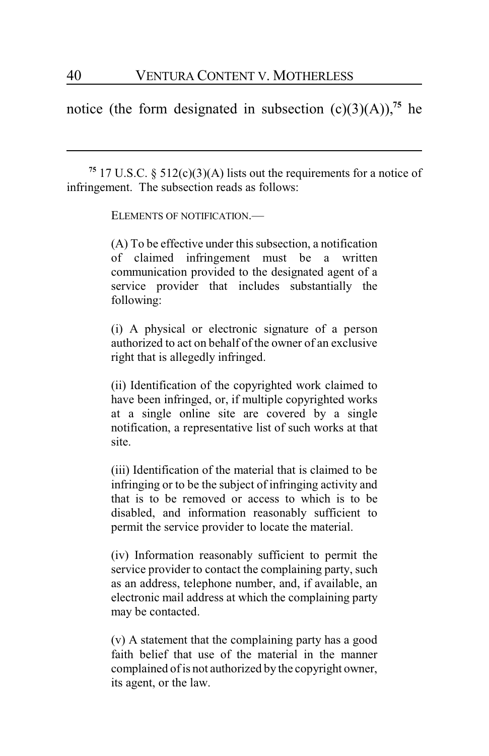notice (the form designated in subsection  $(c)(3)(A))$ ,<sup>75</sup> he

<sup>75</sup> 17 U.S.C. § 512(c)(3)(A) lists out the requirements for a notice of infringement. The subsection reads as follows:

ELEMENTS OF NOTIFICATION.—

(A) To be effective under this subsection, a notification of claimed infringement must be a written communication provided to the designated agent of a service provider that includes substantially the following:

(i) A physical or electronic signature of a person authorized to act on behalf of the owner of an exclusive right that is allegedly infringed.

(ii) Identification of the copyrighted work claimed to have been infringed, or, if multiple copyrighted works at a single online site are covered by a single notification, a representative list of such works at that site.

(iii) Identification of the material that is claimed to be infringing or to be the subject of infringing activity and that is to be removed or access to which is to be disabled, and information reasonably sufficient to permit the service provider to locate the material.

(iv) Information reasonably sufficient to permit the service provider to contact the complaining party, such as an address, telephone number, and, if available, an electronic mail address at which the complaining party may be contacted.

(v) A statement that the complaining party has a good faith belief that use of the material in the manner complained of is not authorized by the copyright owner, its agent, or the law.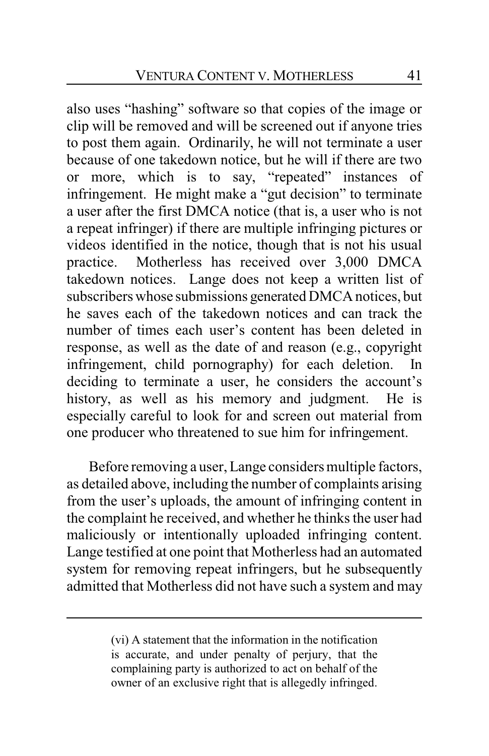also uses "hashing" software so that copies of the image or clip will be removed and will be screened out if anyone tries to post them again. Ordinarily, he will not terminate a user because of one takedown notice, but he will if there are two or more, which is to say, "repeated" instances of infringement. He might make a "gut decision" to terminate a user after the first DMCA notice (that is, a user who is not a repeat infringer) if there are multiple infringing pictures or videos identified in the notice, though that is not his usual practice. Motherless has received over 3,000 DMCA takedown notices. Lange does not keep a written list of subscribers whose submissions generated DMCA notices, but he saves each of the takedown notices and can track the number of times each user's content has been deleted in response, as well as the date of and reason (e.g., copyright infringement, child pornography) for each deletion. In deciding to terminate a user, he considers the account's history, as well as his memory and judgment. He is especially careful to look for and screen out material from one producer who threatened to sue him for infringement.

Before removing a user, Lange considers multiple factors, as detailed above, including the number of complaints arising from the user's uploads, the amount of infringing content in the complaint he received, and whether he thinks the user had maliciously or intentionally uploaded infringing content. Lange testified at one point that Motherless had an automated system for removing repeat infringers, but he subsequently admitted that Motherless did not have such a system and may

<sup>(</sup>vi) A statement that the information in the notification is accurate, and under penalty of perjury, that the complaining party is authorized to act on behalf of the owner of an exclusive right that is allegedly infringed.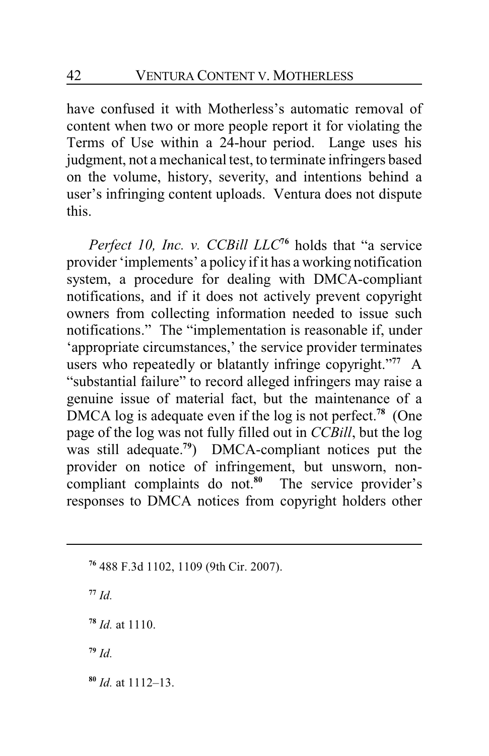have confused it with Motherless's automatic removal of content when two or more people report it for violating the Terms of Use within a 24-hour period. Lange uses his judgment, not a mechanical test, to terminate infringers based on the volume, history, severity, and intentions behind a user's infringing content uploads. Ventura does not dispute this.

*Perfect 10, Inc. v. CCBill LLC***<sup>76</sup>** holds that "a service provider 'implements' a policy if it has a working notification system, a procedure for dealing with DMCA-compliant notifications, and if it does not actively prevent copyright owners from collecting information needed to issue such notifications." The "implementation is reasonable if, under 'appropriate circumstances,' the service provider terminates users who repeatedly or blatantly infringe copyright."**<sup>77</sup>** A "substantial failure" to record alleged infringers may raise a genuine issue of material fact, but the maintenance of a DMCA log is adequate even if the log is not perfect.**<sup>78</sup>** (One page of the log was not fully filled out in *CCBill*, but the log was still adequate.**<sup>79</sup>** ) DMCA-compliant notices put the provider on notice of infringement, but unsworn, noncompliant complaints do not.**<sup>80</sup>** The service provider's responses to DMCA notices from copyright holders other

**<sup>77</sup>** *Id.*

**<sup>78</sup>** *Id.* at 1110.

**<sup>79</sup>** *Id.*

**<sup>80</sup>** *Id.* at 1112–13.

**<sup>76</sup>** 488 F.3d 1102, 1109 (9th Cir. 2007).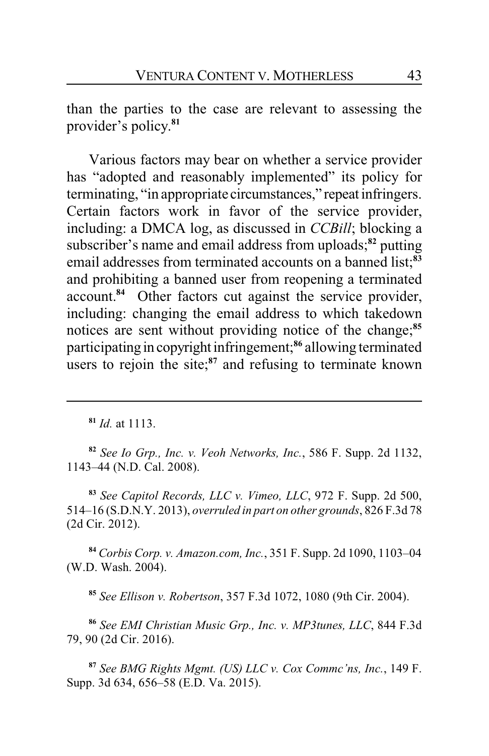than the parties to the case are relevant to assessing the provider's policy. **81**

Various factors may bear on whether a service provider has "adopted and reasonably implemented" its policy for terminating, "in appropriate circumstances," repeat infringers. Certain factors work in favor of the service provider, including: a DMCA log, as discussed in *CCBill*; blocking a subscriber's name and email address from uploads;**<sup>82</sup>** putting email addresses from terminated accounts on a banned list;**<sup>83</sup>** and prohibiting a banned user from reopening a terminated account.**<sup>84</sup>** Other factors cut against the service provider, including: changing the email address to which takedown notices are sent without providing notice of the change;**<sup>85</sup>** participating in copyright infringement;**<sup>86</sup>** allowing terminated users to rejoin the site;**<sup>87</sup>** and refusing to terminate known

**<sup>82</sup>** *See Io Grp., Inc. v. Veoh Networks, Inc.*, 586 F. Supp. 2d 1132, 1143–44 (N.D. Cal. 2008).

**<sup>83</sup>** *See Capitol Records, LLC v. Vimeo, LLC*, 972 F. Supp. 2d 500, 514–16 (S.D.N.Y. 2013), *overruled in part on other grounds*, 826 F.3d 78 (2d Cir. 2012).

**<sup>84</sup>** *Corbis Corp. v. Amazon.com, Inc.*, 351 F. Supp. 2d 1090, 1103–04 (W.D. Wash. 2004).

**<sup>85</sup>** *See Ellison v. Robertson*, 357 F.3d 1072, 1080 (9th Cir. 2004).

**<sup>86</sup>** *See EMI Christian Music Grp., Inc. v. MP3tunes, LLC*, 844 F.3d 79, 90 (2d Cir. 2016).

**<sup>87</sup>** *See BMG Rights Mgmt. (US) LLC v. Cox Commc'ns, Inc.*, 149 F. Supp. 3d 634, 656–58 (E.D. Va. 2015).

**<sup>81</sup>** *Id.* at 1113.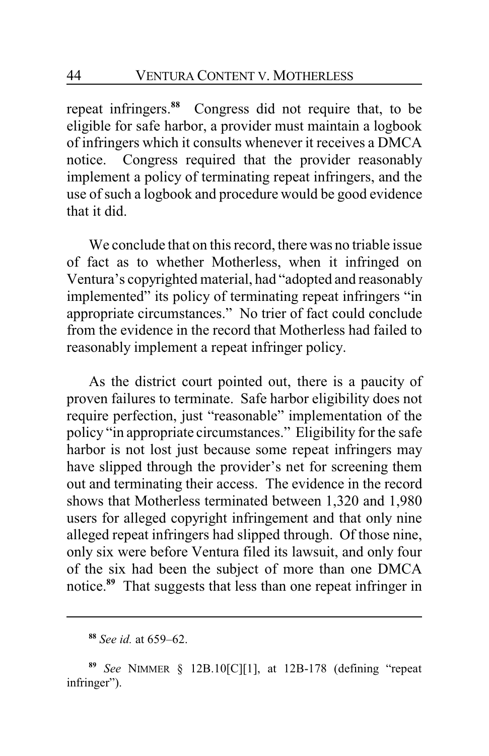repeat infringers. **<sup>88</sup>** Congress did not require that, to be eligible for safe harbor, a provider must maintain a logbook of infringers which it consults whenever it receives a DMCA notice. Congress required that the provider reasonably implement a policy of terminating repeat infringers, and the use of such a logbook and procedure would be good evidence that it did.

We conclude that on this record, there was no triable issue of fact as to whether Motherless, when it infringed on Ventura's copyrighted material, had "adopted and reasonably implemented" its policy of terminating repeat infringers "in appropriate circumstances." No trier of fact could conclude from the evidence in the record that Motherless had failed to reasonably implement a repeat infringer policy.

As the district court pointed out, there is a paucity of proven failures to terminate. Safe harbor eligibility does not require perfection, just "reasonable" implementation of the policy "in appropriate circumstances." Eligibility for the safe harbor is not lost just because some repeat infringers may have slipped through the provider's net for screening them out and terminating their access. The evidence in the record shows that Motherless terminated between 1,320 and 1,980 users for alleged copyright infringement and that only nine alleged repeat infringers had slipped through. Of those nine, only six were before Ventura filed its lawsuit, and only four of the six had been the subject of more than one DMCA notice.**<sup>89</sup>** That suggests that less than one repeat infringer in

**<sup>88</sup>** *See id.* at 659–62.

**<sup>89</sup>** *See* NIMMER § 12B.10[C][1], at 12B-178 (defining "repeat infringer").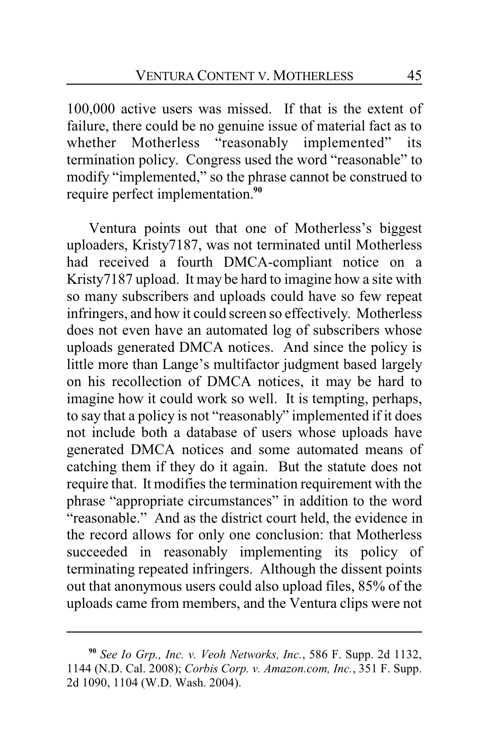100,000 active users was missed. If that is the extent of failure, there could be no genuine issue of material fact as to whether Motherless "reasonably implemented" its termination policy. Congress used the word "reasonable" to modify "implemented," so the phrase cannot be construed to require perfect implementation.**<sup>90</sup>**

Ventura points out that one of Motherless's biggest uploaders, Kristy7187, was not terminated until Motherless had received a fourth DMCA-compliant notice on a Kristy7187 upload. It may be hard to imagine how a site with so many subscribers and uploads could have so few repeat infringers, and how it could screen so effectively. Motherless does not even have an automated log of subscribers whose uploads generated DMCA notices. And since the policy is little more than Lange's multifactor judgment based largely on his recollection of DMCA notices, it may be hard to imagine how it could work so well. It is tempting, perhaps, to say that a policy is not "reasonably" implemented if it does not include both a database of users whose uploads have generated DMCA notices and some automated means of catching them if they do it again. But the statute does not require that. It modifies the termination requirement with the phrase "appropriate circumstances" in addition to the word "reasonable." And as the district court held, the evidence in the record allows for only one conclusion: that Motherless succeeded in reasonably implementing its policy of terminating repeated infringers. Although the dissent points out that anonymous users could also upload files, 85% of the uploads came from members, and the Ventura clips were not

**<sup>90</sup>** *See Io Grp., Inc. v. Veoh Networks, Inc.*, 586 F. Supp. 2d 1132, 1144 (N.D. Cal. 2008); *Corbis Corp. v. Amazon.com, Inc.*, 351 F. Supp. 2d 1090, 1104 (W.D. Wash. 2004).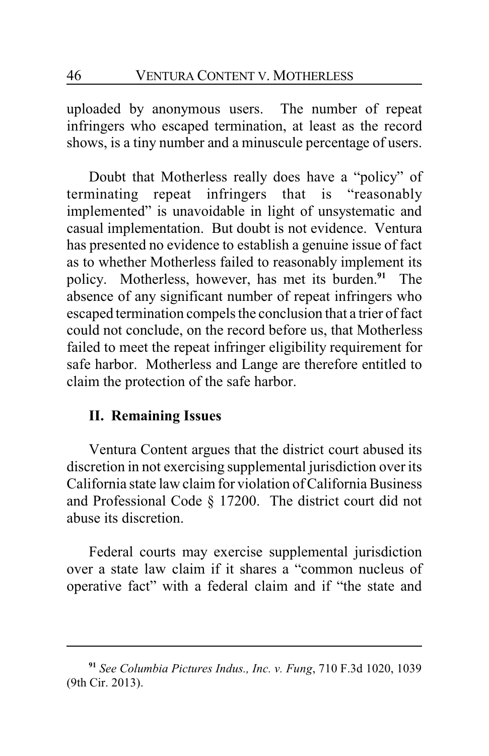uploaded by anonymous users. The number of repeat infringers who escaped termination, at least as the record shows, is a tiny number and a minuscule percentage of users.

Doubt that Motherless really does have a "policy" of terminating repeat infringers that is "reasonably implemented" is unavoidable in light of unsystematic and casual implementation. But doubt is not evidence. Ventura has presented no evidence to establish a genuine issue of fact as to whether Motherless failed to reasonably implement its policy. Motherless, however, has met its burden.**<sup>91</sup>** The absence of any significant number of repeat infringers who escaped termination compels the conclusion that a trier of fact could not conclude, on the record before us, that Motherless failed to meet the repeat infringer eligibility requirement for safe harbor. Motherless and Lange are therefore entitled to claim the protection of the safe harbor.

## **II. Remaining Issues**

Ventura Content argues that the district court abused its discretion in not exercising supplemental jurisdiction over its California state law claim for violation of California Business and Professional Code § 17200. The district court did not abuse its discretion.

Federal courts may exercise supplemental jurisdiction over a state law claim if it shares a "common nucleus of operative fact" with a federal claim and if "the state and

**<sup>91</sup>** *See Columbia Pictures Indus., Inc. v. Fung*, 710 F.3d 1020, 1039 (9th Cir. 2013).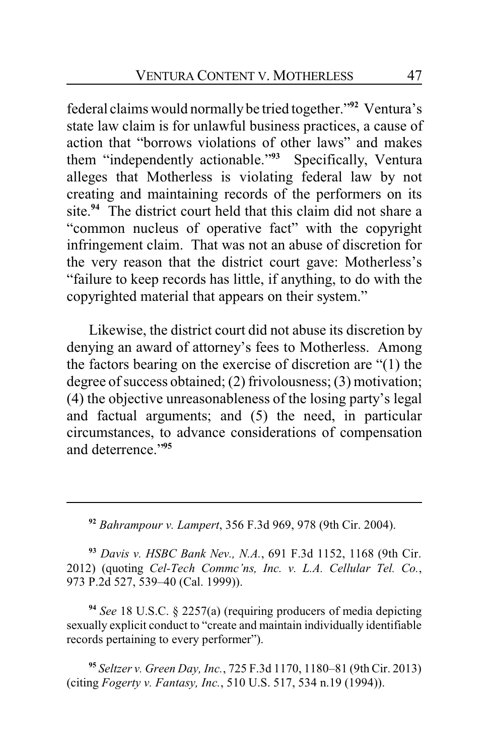federal claims would normally be tried together."**<sup>92</sup>** Ventura's state law claim is for unlawful business practices, a cause of action that "borrows violations of other laws" and makes them "independently actionable." **<sup>93</sup>** Specifically, Ventura alleges that Motherless is violating federal law by not creating and maintaining records of the performers on its site.**<sup>94</sup>** The district court held that this claim did not share a "common nucleus of operative fact" with the copyright infringement claim. That was not an abuse of discretion for the very reason that the district court gave: Motherless's "failure to keep records has little, if anything, to do with the copyrighted material that appears on their system."

Likewise, the district court did not abuse its discretion by denying an award of attorney's fees to Motherless. Among the factors bearing on the exercise of discretion are "(1) the degree of success obtained; (2) frivolousness; (3) motivation; (4) the objective unreasonableness of the losing party's legal and factual arguments; and (5) the need, in particular circumstances, to advance considerations of compensation and deterrence."**<sup>95</sup>**

**<sup>92</sup>** *Bahrampour v. Lampert*, 356 F.3d 969, 978 (9th Cir. 2004).

**<sup>93</sup>** *Davis v. HSBC Bank Nev., N.A.*, 691 F.3d 1152, 1168 (9th Cir. 2012) (quoting *Cel-Tech Commc'ns, Inc. v. L.A. Cellular Tel. Co.*, 973 P.2d 527, 539–40 (Cal. 1999)).

**<sup>94</sup>** *See* 18 U.S.C. § 2257(a) (requiring producers of media depicting sexually explicit conduct to "create and maintain individually identifiable records pertaining to every performer").

**<sup>95</sup>** *Seltzer v. Green Day, Inc.*, 725 F.3d 1170, 1180–81 (9th Cir. 2013) (citing *Fogerty v. Fantasy, Inc.*, 510 U.S. 517, 534 n.19 (1994)).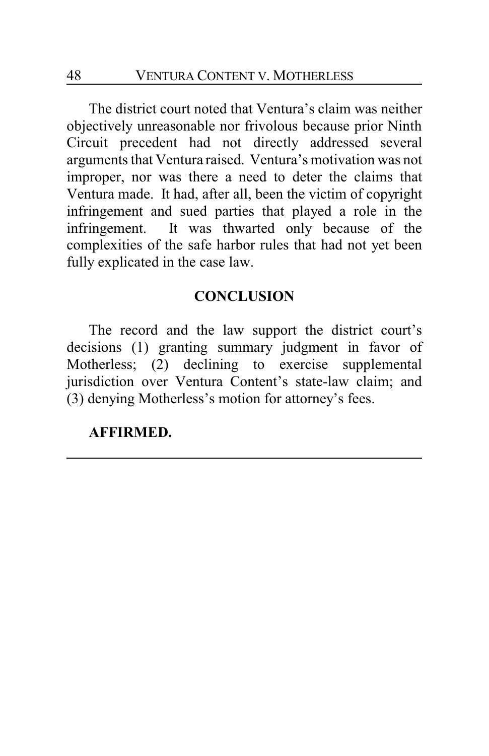The district court noted that Ventura's claim was neither objectively unreasonable nor frivolous because prior Ninth Circuit precedent had not directly addressed several arguments that Ventura raised. Ventura's motivation was not improper, nor was there a need to deter the claims that Ventura made. It had, after all, been the victim of copyright infringement and sued parties that played a role in the infringement. It was thwarted only because of the complexities of the safe harbor rules that had not yet been fully explicated in the case law.

### **CONCLUSION**

The record and the law support the district court's decisions (1) granting summary judgment in favor of Motherless; (2) declining to exercise supplemental jurisdiction over Ventura Content's state-law claim; and (3) denying Motherless's motion for attorney's fees.

#### **AFFIRMED.**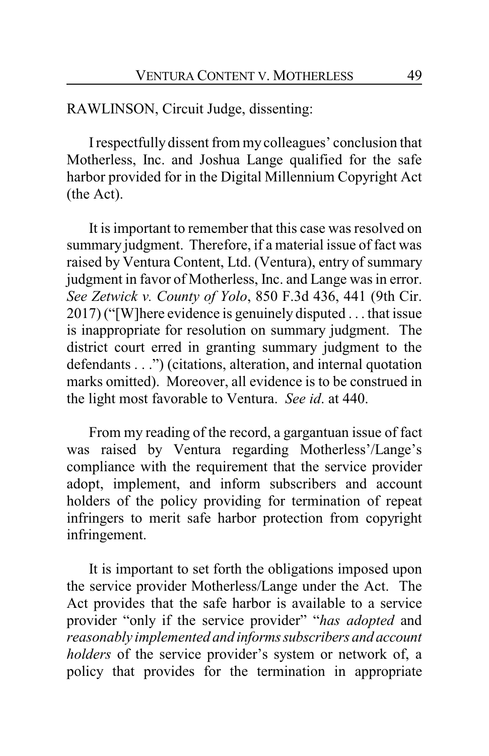RAWLINSON, Circuit Judge, dissenting:

Irespectfully dissent from my colleagues' conclusion that Motherless, Inc. and Joshua Lange qualified for the safe harbor provided for in the Digital Millennium Copyright Act (the Act).

It is important to remember that this case was resolved on summary judgment. Therefore, if a material issue of fact was raised by Ventura Content, Ltd. (Ventura), entry of summary judgment in favor of Motherless, Inc. and Lange was in error. *See Zetwick v. County of Yolo*, 850 F.3d 436, 441 (9th Cir. 2017) ("[W]here evidence is genuinely disputed . . . that issue is inappropriate for resolution on summary judgment. The district court erred in granting summary judgment to the defendants . . .") (citations, alteration, and internal quotation marks omitted). Moreover, all evidence is to be construed in the light most favorable to Ventura. *See id*. at 440.

From my reading of the record, a gargantuan issue of fact was raised by Ventura regarding Motherless'/Lange's compliance with the requirement that the service provider adopt, implement, and inform subscribers and account holders of the policy providing for termination of repeat infringers to merit safe harbor protection from copyright infringement.

It is important to set forth the obligations imposed upon the service provider Motherless/Lange under the Act. The Act provides that the safe harbor is available to a service provider "only if the service provider" "*has adopted* and *reasonably implemented and informssubscribers and account holders* of the service provider's system or network of, a policy that provides for the termination in appropriate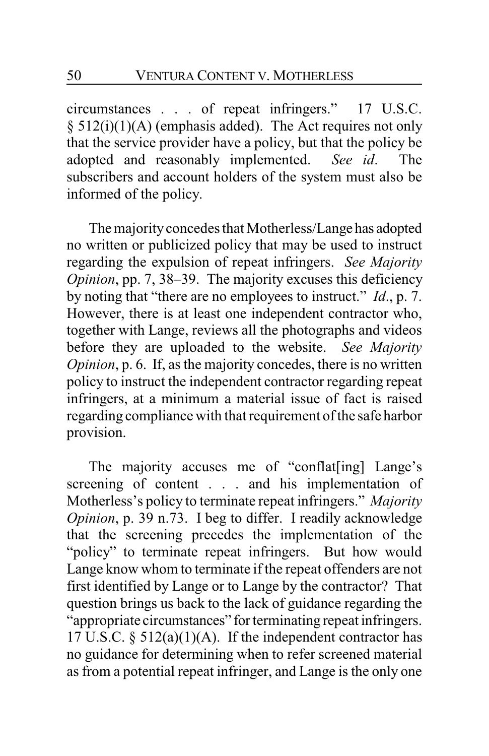circumstances . . . of repeat infringers." 17 U.S.C. § 512(i)(1)(A) (emphasis added). The Act requires not only that the service provider have a policy, but that the policy be adopted and reasonably implemented. *See id*. The subscribers and account holders of the system must also be informed of the policy.

The majority concedes that Motherless/Lange has adopted no written or publicized policy that may be used to instruct regarding the expulsion of repeat infringers. *See Majority Opinion*, pp. 7, 38–39. The majority excuses this deficiency by noting that "there are no employees to instruct." *Id*., p. 7. However, there is at least one independent contractor who, together with Lange, reviews all the photographs and videos before they are uploaded to the website. *See Majority Opinion*, p. 6. If, as the majority concedes, there is no written policy to instruct the independent contractor regarding repeat infringers, at a minimum a material issue of fact is raised regarding compliance with that requirement of the safe harbor provision.

The majority accuses me of "conflat[ing] Lange's screening of content . . . and his implementation of Motherless's policy to terminate repeat infringers." *Majority Opinion*, p. 39 n.73. I beg to differ. I readily acknowledge that the screening precedes the implementation of the "policy" to terminate repeat infringers. But how would Lange know whom to terminate if the repeat offenders are not first identified by Lange or to Lange by the contractor? That question brings us back to the lack of guidance regarding the "appropriate circumstances" for terminating repeat infringers. 17 U.S.C. § 512(a)(1)(A). If the independent contractor has no guidance for determining when to refer screened material as from a potential repeat infringer, and Lange is the only one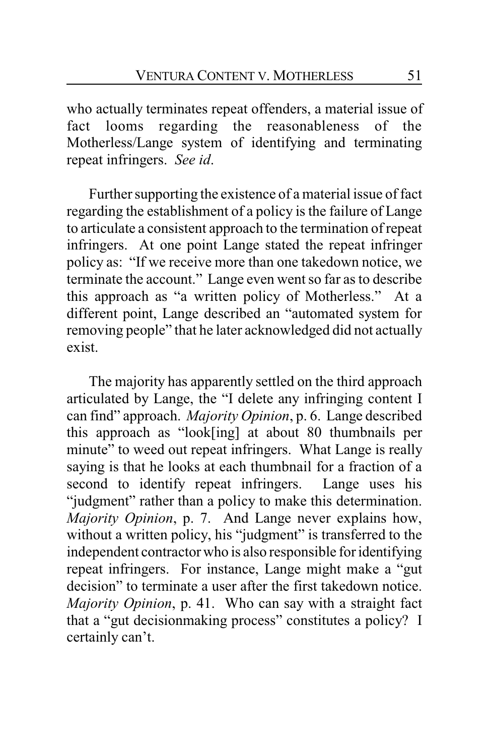who actually terminates repeat offenders, a material issue of fact looms regarding the reasonableness of the Motherless/Lange system of identifying and terminating repeat infringers. *See id*.

Further supporting the existence of a material issue of fact regarding the establishment of a policy is the failure of Lange to articulate a consistent approach to the termination of repeat infringers. At one point Lange stated the repeat infringer policy as: "If we receive more than one takedown notice, we terminate the account." Lange even went so far as to describe this approach as "a written policy of Motherless." At a different point, Lange described an "automated system for removing people" that he later acknowledged did not actually exist.

The majority has apparently settled on the third approach articulated by Lange, the "I delete any infringing content I can find" approach. *Majority Opinion*, p. 6. Lange described this approach as "look[ing] at about 80 thumbnails per minute" to weed out repeat infringers. What Lange is really saying is that he looks at each thumbnail for a fraction of a second to identify repeat infringers. Lange uses his "judgment" rather than a policy to make this determination. *Majority Opinion*, p. 7. And Lange never explains how, without a written policy, his "judgment" is transferred to the independent contractor who is also responsible for identifying repeat infringers. For instance, Lange might make a "gut decision" to terminate a user after the first takedown notice. *Majority Opinion*, p. 41. Who can say with a straight fact that a "gut decisionmaking process" constitutes a policy? I certainly can't.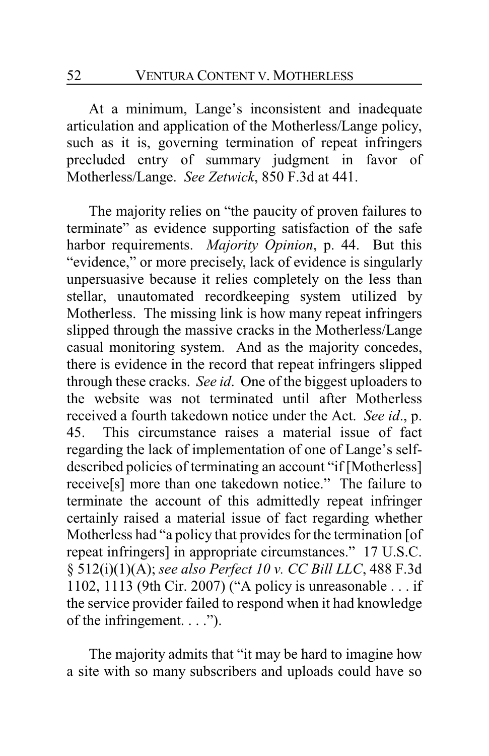52 VENTURA CONTENT V. MOTHERLESS

At a minimum, Lange's inconsistent and inadequate articulation and application of the Motherless/Lange policy, such as it is, governing termination of repeat infringers precluded entry of summary judgment in favor of Motherless/Lange. *See Zetwick*, 850 F.3d at 441.

The majority relies on "the paucity of proven failures to terminate" as evidence supporting satisfaction of the safe harbor requirements. *Majority Opinion*, p. 44. But this "evidence," or more precisely, lack of evidence is singularly unpersuasive because it relies completely on the less than stellar, unautomated recordkeeping system utilized by Motherless. The missing link is how many repeat infringers slipped through the massive cracks in the Motherless/Lange casual monitoring system. And as the majority concedes, there is evidence in the record that repeat infringers slipped through these cracks. *See id*. One of the biggest uploaders to the website was not terminated until after Motherless received a fourth takedown notice under the Act. *See id*., p. 45. This circumstance raises a material issue of fact regarding the lack of implementation of one of Lange's selfdescribed policies of terminating an account "if [Motherless] receive[s] more than one takedown notice." The failure to terminate the account of this admittedly repeat infringer certainly raised a material issue of fact regarding whether Motherless had "a policy that provides for the termination [of repeat infringers] in appropriate circumstances." 17 U.S.C. § 512(i)(1)(A); *see also Perfect 10 v. CC Bill LLC*, 488 F.3d 1102, 1113 (9th Cir. 2007) ("A policy is unreasonable . . . if the service provider failed to respond when it had knowledge of the infringement.  $\ldots$ ").

The majority admits that "it may be hard to imagine how a site with so many subscribers and uploads could have so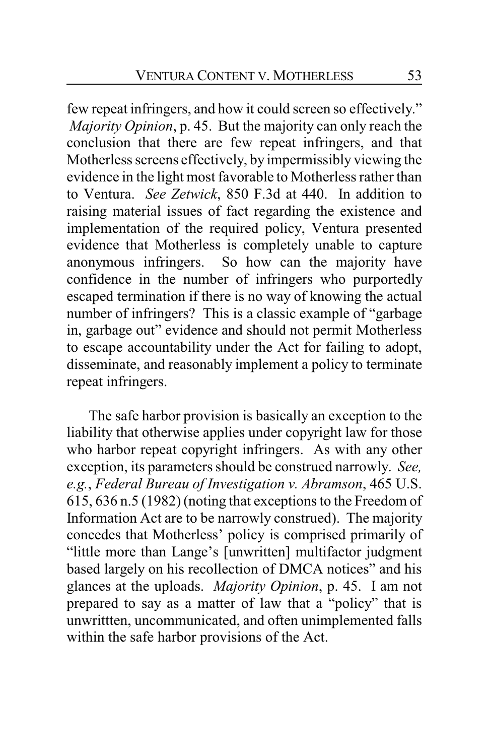few repeat infringers, and how it could screen so effectively." *Majority Opinion*, p. 45. But the majority can only reach the conclusion that there are few repeat infringers, and that Motherless screens effectively, by impermissibly viewing the evidence in the light most favorable to Motherless rather than to Ventura. *See Zetwick*, 850 F.3d at 440. In addition to raising material issues of fact regarding the existence and implementation of the required policy, Ventura presented evidence that Motherless is completely unable to capture anonymous infringers. So how can the majority have confidence in the number of infringers who purportedly escaped termination if there is no way of knowing the actual number of infringers? This is a classic example of "garbage in, garbage out" evidence and should not permit Motherless to escape accountability under the Act for failing to adopt, disseminate, and reasonably implement a policy to terminate repeat infringers.

The safe harbor provision is basically an exception to the liability that otherwise applies under copyright law for those who harbor repeat copyright infringers. As with any other exception, its parameters should be construed narrowly. *See, e.g.*, *Federal Bureau of Investigation v. Abramson*, 465 U.S. 615, 636 n.5 (1982) (noting that exceptions to the Freedom of Information Act are to be narrowly construed). The majority concedes that Motherless' policy is comprised primarily of "little more than Lange's [unwritten] multifactor judgment based largely on his recollection of DMCA notices" and his glances at the uploads. *Majority Opinion*, p. 45. I am not prepared to say as a matter of law that a "policy" that is unwrittten, uncommunicated, and often unimplemented falls within the safe harbor provisions of the Act.